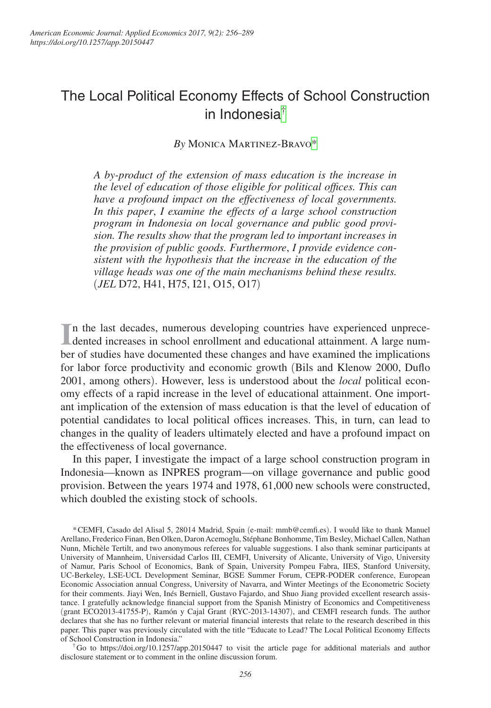# The Local Political Economy Effects of School Construction in Indonesia[†](#page-0-0)

*By* Monica Martinez-Brav[o\\*](#page-0-1)

*A by-product of the extension of mass education is the increase in the level of education of those eligible for political offices. This can have a profound impact on the effectiveness of local governments. In this paper*, *I examine the effects of a large school construction program in Indonesia on local governance and public good provision. The results show that the program led to important increases in the provision of public goods. Furthermore*, *I provide evidence consistent with the hypothesis that the increase in the education of the village heads was one of the main mechanisms behind these results.*  (*JEL* D72, H41, H75, I21, O15, O17)

In the last decades, numerous developing countries have experienced unprecedented increases in school enrollment and educational attainment. A large numn the last decades, numerous developing countries have experienced unpreceber of studies have documented these changes and have examined the implications for labor force productivity and economic growth (Bils and Klenow 2000, Duflo 2001, among others). However, less is understood about the *local* political economy effects of a rapid increase in the level of educational attainment. One important implication of the extension of mass education is that the level of education of potential candidates to local political offices increases. This, in turn, can lead to changes in the quality of leaders ultimately elected and have a profound impact on the effectiveness of local governance.

In this paper, I investigate the impact of a large school construction program in Indonesia—known as INPRES program—on village governance and public good provision. Between the years 1974 and 1978, 61,000 new schools were constructed, which doubled the existing stock of schools.

<span id="page-0-1"></span>\*CEMFI, Casado del Alisal 5, 28014 Madrid, Spain (e-mail: mmb@cemfi.es). I would like to thank Manuel Arellano, Frederico Finan, Ben Olken, Daron Acemoglu, Stéphane Bonhomme, Tim Besley, Michael Callen, Nathan Nunn, Michèle Tertilt, and two anonymous referees for valuable suggestions. I also thank seminar participants at University of Mannheim, Universidad Carlos III, CEMFI, University of Alicante, University of Vigo, University of Namur, Paris School of Economics, Bank of Spain, University Pompeu Fabra, IIES, Stanford University, UC-Berkeley, LSE-UCL Development Seminar, BGSE Summer Forum, CEPR-PODER conference, European Economic Association annual Congress, University of Navarra, and Winter Meetings of the Econometric Society for their comments. Jiayi Wen, Inés Berniell, Gustavo Fajardo, and Shuo Jiang provided excellent research assistance. I gratefully acknowledge financial support from the Spanish Ministry of Economics and Competitiveness (grant ECO2013-41755-P), Ramón y Cajal Grant (RYC-2013-14307), and CEMFI research funds. The author declares that she has no further relevant or material financial interests that relate to the research described in this paper. This paper was previously circulated with the title "Educate to Lead? The Local Political Economy Effects of School Construction in Indonesia."

<span id="page-0-0"></span>†Go to https://doi.org/10.1257/app.20150447 to visit the article page for additional materials and author disclosure statement or to comment in the online discussion forum.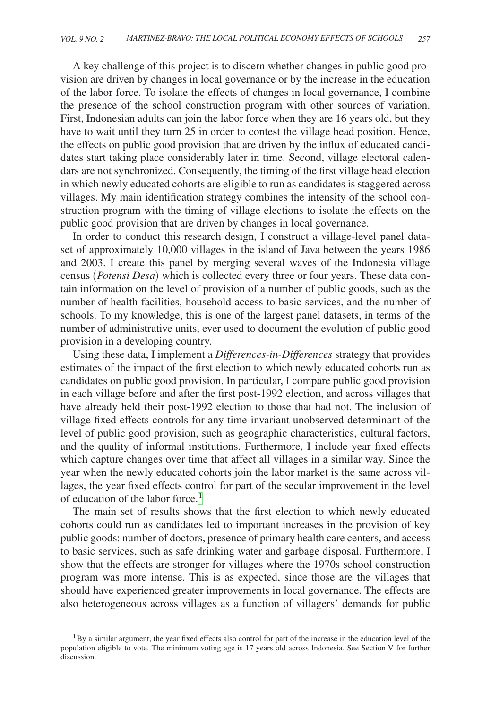A key challenge of this project is to discern whether changes in public good provision are driven by changes in local governance or by the increase in the education of the labor force. To isolate the effects of changes in local governance, I combine the presence of the school construction program with other sources of variation. First, Indonesian adults can join the labor force when they are 16 years old, but they have to wait until they turn 25 in order to contest the village head position. Hence, the effects on public good provision that are driven by the influx of educated candidates start taking place considerably later in time. Second, village electoral calendars are not synchronized. Consequently, the timing of the first village head election in which newly educated cohorts are eligible to run as candidates is staggered across villages. My main identification strategy combines the intensity of the school construction program with the timing of village elections to isolate the effects on the public good provision that are driven by changes in local governance.

In order to conduct this research design, I construct a village-level panel dataset of approximately 10,000 villages in the island of Java between the years 1986 and 2003. I create this panel by merging several waves of the Indonesia village census (*Potensi Desa*) which is collected every three or four years. These data contain information on the level of provision of a number of public goods, such as the number of health facilities, household access to basic services, and the number of schools. To my knowledge, this is one of the largest panel datasets, in terms of the number of administrative units, ever used to document the evolution of public good provision in a developing country.

Using these data, I implement a *Differences-in-Differences* strategy that provides estimates of the impact of the first election to which newly educated cohorts run as candidates on public good provision. In particular, I compare public good provision in each village before and after the first post-1992 election, and across villages that have already held their post-1992 election to those that had not. The inclusion of village fixed effects controls for any time-invariant unobserved determinant of the level of public good provision, such as geographic characteristics, cultural factors, and the quality of informal institutions. Furthermore, I include year fixed effects which capture changes over time that affect all villages in a similar way. Since the year when the newly educated cohorts join the labor market is the same across villages, the year fixed effects control for part of the secular improvement in the level of education of the labor force.<sup>1</sup>

The main set of results shows that the first election to which newly educated cohorts could run as candidates led to important increases in the provision of key public goods: number of doctors, presence of primary health care centers, and access to basic services, such as safe drinking water and garbage disposal. Furthermore, I show that the effects are stronger for villages where the 1970s school construction program was more intense. This is as expected, since those are the villages that should have experienced greater improvements in local governance. The effects are also heterogeneous across villages as a function of villagers' demands for public

<span id="page-1-0"></span><sup>&</sup>lt;sup>1</sup>By a similar argument, the year fixed effects also control for part of the increase in the education level of the population eligible to vote. The minimum voting age is 17 years old across Indonesia. See Section V for further discussion.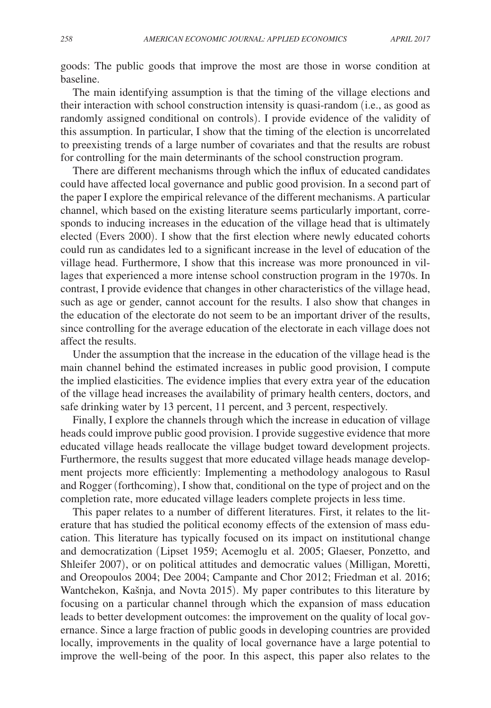goods: The public goods that improve the most are those in worse condition at baseline.

The main identifying assumption is that the timing of the village elections and their interaction with school construction intensity is quasi-random (i.e., as good as randomly assigned conditional on controls). I provide evidence of the validity of this assumption. In particular, I show that the timing of the election is uncorrelated to preexisting trends of a large number of covariates and that the results are robust for controlling for the main determinants of the school construction program.

There are different mechanisms through which the influx of educated candidates could have affected local governance and public good provision. In a second part of the paper I explore the empirical relevance of the different mechanisms. A particular channel, which based on the existing literature seems particularly important, corresponds to inducing increases in the education of the village head that is ultimately elected (Evers 2000). I show that the first election where newly educated cohorts could run as candidates led to a significant increase in the level of education of the village head. Furthermore, I show that this increase was more pronounced in villages that experienced a more intense school construction program in the 1970s. In contrast, I provide evidence that changes in other characteristics of the village head, such as age or gender, cannot account for the results. I also show that changes in the education of the electorate do not seem to be an important driver of the results, since controlling for the average education of the electorate in each village does not affect the results.

Under the assumption that the increase in the education of the village head is the main channel behind the estimated increases in public good provision, I compute the implied elasticities. The evidence implies that every extra year of the education of the village head increases the availability of primary health centers, doctors, and safe drinking water by 13 percent, 11 percent, and 3 percent, respectively.

Finally, I explore the channels through which the increase in education of village heads could improve public good provision. I provide suggestive evidence that more educated village heads reallocate the village budget toward development projects. Furthermore, the results suggest that more educated village heads manage development projects more efficiently: Implementing a methodology analogous to Rasul and Rogger (forthcoming), I show that, conditional on the type of project and on the completion rate, more educated village leaders complete projects in less time.

This paper relates to a number of different literatures. First, it relates to the literature that has studied the political economy effects of the extension of mass education. This literature has typically focused on its impact on institutional change and democratization (Lipset 1959; Acemoglu et al. 2005; Glaeser, Ponzetto, and Shleifer 2007), or on political attitudes and democratic values (Milligan, Moretti, and Oreopoulos 2004; Dee 2004; Campante and Chor 2012; Friedman et al. 2016; Wantchekon, Kašnja, and Novta 2015). My paper contributes to this literature by focusing on a particular channel through which the expansion of mass education leads to better development outcomes: the improvement on the quality of local governance. Since a large fraction of public goods in developing countries are provided locally, improvements in the quality of local governance have a large potential to improve the well-being of the poor. In this aspect, this paper also relates to the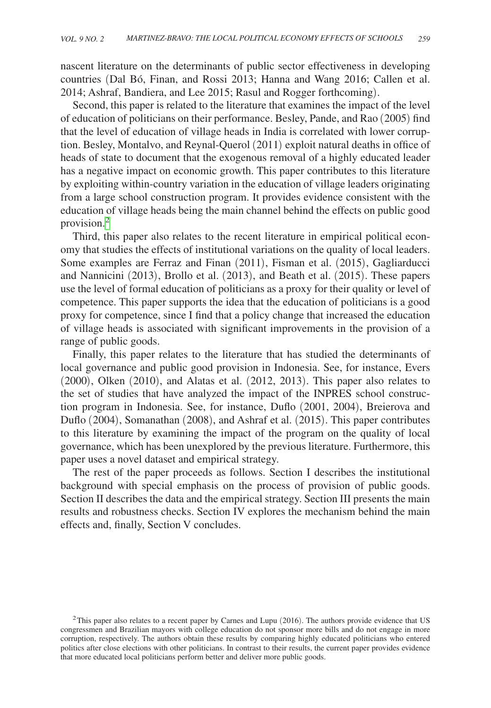nascent literature on the determinants of public sector effectiveness in developing countries (Dal Bó, Finan, and Rossi 2013; Hanna and Wang 2016; Callen et al. 2014; Ashraf, Bandiera, and Lee 2015; Rasul and Rogger forthcoming).

Second, this paper is related to the literature that examines the impact of the level of education of politicians on their performance. Besley, Pande, and Rao (2005) find that the level of education of village heads in India is correlated with lower corruption. Besley, Montalvo, and Reynal-Querol (2011) exploit natural deaths in office of heads of state to document that the exogenous removal of a highly educated leader has a negative impact on economic growth. This paper contributes to this literature by exploiting within-country variation in the education of village leaders originating from a large school construction program. It provides evidence consistent with the education of village heads being the main channel behind the effects on public good provision[.2](#page-3-0)

Third, this paper also relates to the recent literature in empirical political economy that studies the effects of institutional variations on the quality of local leaders. Some examples are Ferraz and Finan (2011), Fisman et al. (2015), Gagliarducci and Nannicini (2013), Brollo et al. (2013), and Beath et al. (2015). These papers use the level of formal education of politicians as a proxy for their quality or level of competence. This paper supports the idea that the education of politicians is a good proxy for competence, since I find that a policy change that increased the education of village heads is associated with significant improvements in the provision of a range of public goods.

Finally, this paper relates to the literature that has studied the determinants of local governance and public good provision in Indonesia. See, for instance, Evers (2000), Olken (2010), and Alatas et al. (2012, 2013). This paper also relates to the set of studies that have analyzed the impact of the INPRES school construction program in Indonesia. See, for instance, Duflo (2001, 2004), Breierova and Duflo (2004), Somanathan (2008), and Ashraf et al. (2015). This paper contributes to this literature by examining the impact of the program on the quality of local governance, which has been unexplored by the previous literature. Furthermore, this paper uses a novel dataset and empirical strategy.

The rest of the paper proceeds as follows. Section I describes the institutional background with special emphasis on the process of provision of public goods. Section II describes the data and the empirical strategy. Section III presents the main results and robustness checks. Section IV explores the mechanism behind the main effects and, finally, Section V concludes.

<span id="page-3-0"></span> $2$ This paper also relates to a recent paper by Carnes and Lupu (2016). The authors provide evidence that US congressmen and Brazilian mayors with college education do not sponsor more bills and do not engage in more corruption, respectively. The authors obtain these results by comparing highly educated politicians who entered politics after close elections with other politicians. In contrast to their results, the current paper provides evidence that more educated local politicians perform better and deliver more public goods.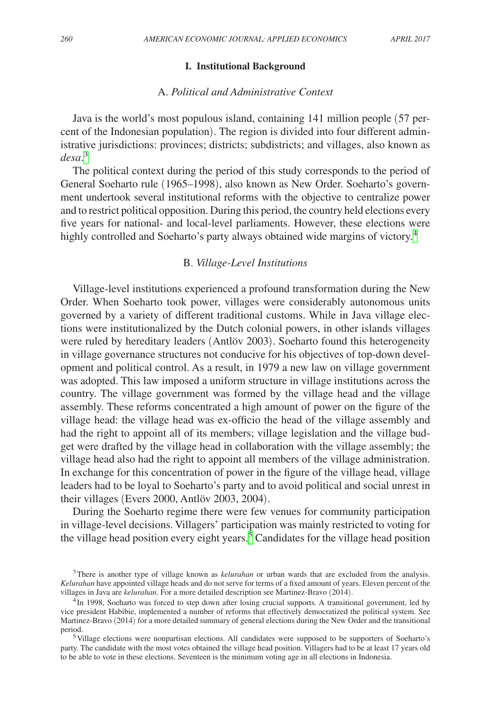#### **I. Institutional Background**

# A. *Political and Administrative Context*

Java is the world's most populous island, containing 141 million people (57 percent of the Indonesian population). The region is divided into four different administrative jurisdictions: provinces; districts; subdistricts; and villages, also known as *desa*. [3](#page-4-0)

The political context during the period of this study corresponds to the period of General Soeharto rule (1965–1998), also known as New Order. Soeharto's government undertook several institutional reforms with the objective to centralize power and to restrict political opposition. During this period, the country held elections every five years for national- and local-level parliaments. However, these elections were highly controlled and Soeharto's party always obtained wide margins of victory.<sup>[4](#page-4-1)</sup>

# B. *Village-Level Institutions*

Village-level institutions experienced a profound transformation during the New Order. When Soeharto took power, villages were considerably autonomous units governed by a variety of different traditional customs. While in Java village elections were institutionalized by the Dutch colonial powers, in other islands villages were ruled by hereditary leaders (Antlöv 2003). Soeharto found this heterogeneity in village governance structures not conducive for his objectives of top-down development and political control. As a result, in 1979 a new law on village government was adopted. This law imposed a uniform structure in village institutions across the country. The village government was formed by the village head and the village assembly. These reforms concentrated a high amount of power on the figure of the village head: the village head was ex-officio the head of the village assembly and had the right to appoint all of its members; village legislation and the village budget were drafted by the village head in collaboration with the village assembly; the village head also had the right to appoint all members of the village administration. In exchange for this concentration of power in the figure of the village head, village leaders had to be loyal to Soeharto's party and to avoid political and social unrest in their villages (Evers 2000, Antlöv 2003, 2004).

During the Soeharto regime there were few venues for community participation in village-level decisions. Villagers' participation was mainly restricted to voting for the village head position every eight years.<sup>[5](#page-4-2)</sup> Candidates for the village head position

<span id="page-4-0"></span><sup>3</sup>There is another type of village known as *kelurahan* or urban wards that are excluded from the analysis. *Kelurahan* have appointed village heads and do not serve for terms of a fixed amount of years. Eleven percent of the villages in Java are *kelurahan*. For a more detailed description see Martinez-Bravo (2014).

<span id="page-4-1"></span><sup>&</sup>lt;sup>4</sup>In 1998, Soeharto was forced to step down after losing crucial supports. A transitional government, led by vice president Habibie, implemented a number of reforms that effectively democratized the political system. See Martinez-Bravo (2014) for a more detailed summary of general elections during the New Order and the transitional

<span id="page-4-2"></span><sup>&</sup>lt;sup>5</sup> Village elections were nonpartisan elections. All candidates were supposed to be supporters of Soeharto's party. The candidate with the most votes obtained the village head position. Villagers had to be at least 17 years old to be able to vote in these elections. Seventeen is the minimum voting age in all elections in Indonesia.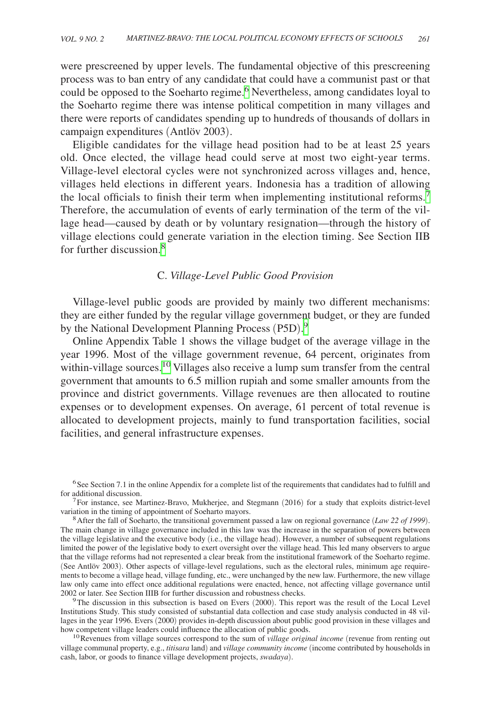were prescreened by upper levels. The fundamental objective of this prescreening process was to ban entry of any candidate that could have a communist past or that could be opposed to the Soeharto regime.<sup>[6](#page-5-0)</sup> Nevertheless, among candidates loyal to the Soeharto regime there was intense political competition in many villages and there were reports of candidates spending up to hundreds of thousands of dollars in campaign expenditures (Antlöv 2003).

Eligible candidates for the village head position had to be at least 25 years old. Once elected, the village head could serve at most two eight-year terms. Village-level electoral cycles were not synchronized across villages and, hence, villages held elections in different years. Indonesia has a tradition of allowing the local officials to finish their term when implementing institutional reforms.<sup>[7](#page-5-1)</sup> Therefore, the accumulation of events of early termination of the term of the village head—caused by death or by voluntary resignation—through the history of village elections could generate variation in the election timing. See Section IIB for further discussion.<sup>[8](#page-5-2)</sup>

# C. *Village-Level Public Good Provision*

Village-level public goods are provided by mainly two different mechanisms: they are either funded by the regular village government budget, or they are funded by the National Development Planning Process (P5D).<sup>[9](#page-5-3)</sup>

Online Appendix Table 1 shows the village budget of the average village in the year 1996. Most of the village government revenue, 64 percent, originates from within-village sources.<sup>[10](#page-5-4)</sup> Villages also receive a lump sum transfer from the central government that amounts to 6.5 million rupiah and some smaller amounts from the province and district governments. Village revenues are then allocated to routine expenses or to development expenses. On average, 61 percent of total revenue is allocated to development projects, mainly to fund transportation facilities, social facilities, and general infrastructure expenses.

<span id="page-5-3"></span>Institutions Study. This study consisted of substantial data collection and case study analysis conducted in 48 villages in the year 1996. Evers (2000) provides in-depth discussion about public good provision in these villages and how competent village leaders could influence the allocation of public goods.

<span id="page-5-4"></span><sup>10</sup>Revenues from village sources correspond to the sum of *village original income* (revenue from renting out village communal property, e.g., *titisara* land) and *village community income* (income contributed by households in cash, labor, or goods to finance village development projects, *swadaya*).

<span id="page-5-0"></span><sup>&</sup>lt;sup>6</sup>See Section 7.1 in the online Appendix for a complete list of the requirements that candidates had to fulfill and

<span id="page-5-1"></span>for additional discussion.<br><sup>7</sup>For instance, see Martinez-Bravo, Mukherjee, and Stegmann (2016) for a study that exploits district-level variation in the timing of appointment of Soeharto mayors.

<span id="page-5-2"></span><sup>&</sup>lt;sup>8</sup> After the fall of Soeharto, the transitional government passed a law on regional governance (*Law 22 of 1999*). The main change in village governance included in this law was the increase in the separation of powers between the village legislative and the executive body (i.e., the village head). However, a number of subsequent regulations limited the power of the legislative body to exert oversight over the village head. This led many observers to argue that the village reforms had not represented a clear break from the institutional framework of the Soeharto regime. (See Antlöv 2003). Other aspects of village-level regulations, such as the electoral rules, minimum age requirements to become a village head, village funding, etc., were unchanged by the new law. Furthermore, the new village law only came into effect once additional regulations were enacted, hence, not affecting village governance until 2002 or later. See Section IIIB for further discussion and robustness checks. <sup>9</sup>The discussion in this subsection is based on Evers (2000). This report was the result of the Local Level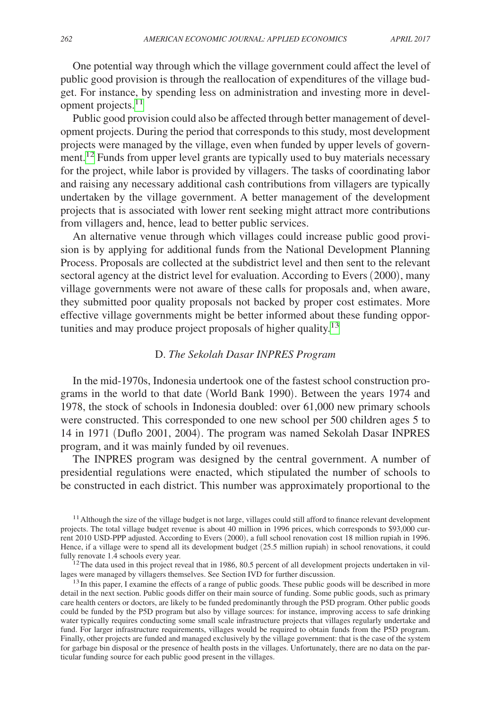One potential way through which the village government could affect the level of public good provision is through the reallocation of expenditures of the village budget. For instance, by spending less on administration and investing more in devel-opment projects.<sup>[11](#page-6-0)</sup>

Public good provision could also be affected through better management of development projects. During the period that corresponds to this study, most development projects were managed by the village, even when funded by upper levels of government.<sup>12</sup> Funds from upper level grants are typically used to buy materials necessary for the project, while labor is provided by villagers. The tasks of coordinating labor and raising any necessary additional cash contributions from villagers are typically undertaken by the village government. A better management of the development projects that is associated with lower rent seeking might attract more contributions from villagers and, hence, lead to better public services.

An alternative venue through which villages could increase public good provision is by applying for additional funds from the National Development Planning Process. Proposals are collected at the subdistrict level and then sent to the relevant sectoral agency at the district level for evaluation. According to Evers (2000), many village governments were not aware of these calls for proposals and, when aware, they submitted poor quality proposals not backed by proper cost estimates. More effective village governments might be better informed about these funding opportunities and may produce project proposals of higher quality.<sup>13</sup>

# D. *The Sekolah Dasar INPRES Program*

In the mid-1970s, Indonesia undertook one of the fastest school construction programs in the world to that date (World Bank 1990). Between the years 1974 and 1978, the stock of schools in Indonesia doubled: over 61,000 new primary schools were constructed. This corresponded to one new school per 500 children ages 5 to 14 in 1971 (Duflo 2001, 2004). The program was named Sekolah Dasar INPRES program, and it was mainly funded by oil revenues.

The INPRES program was designed by the central government. A number of presidential regulations were enacted, which stipulated the number of schools to be constructed in each district. This number was approximately proportional to the

<span id="page-6-0"></span><sup>&</sup>lt;sup>11</sup> Although the size of the village budget is not large, villages could still afford to finance relevant development projects. The total village budget revenue is about 40 million in 1996 prices, which corresponds to \$93,000 current 2010 USD-PPP adjusted. According to Evers (2000), a full school renovation cost 18 million rupiah in 1996. Hence, if a village were to spend all its development budget (25.5 million rupiah) in school renovations, it could fully renovate 1.4 schools every year.

<span id="page-6-1"></span> $^{12}$ The data used in this project reveal that in 1986, 80.5 percent of all development projects undertaken in villages were managed by villagers themselves. See Section IVD for further discussion.

<span id="page-6-2"></span><sup>&</sup>lt;sup>13</sup> In this paper, I examine the effects of a range of public goods. These public goods will be described in more detail in the next section. Public goods differ on their main source of funding. Some public goods, such as primary care health centers or doctors, are likely to be funded predominantly through the P5D program. Other public goods could be funded by the P5D program but also by village sources: for instance, improving access to safe drinking water typically requires conducting some small scale infrastructure projects that villages regularly undertake and fund. For larger infrastructure requirements, villages would be required to obtain funds from the P5D program. Finally, other projects are funded and managed exclusively by the village government: that is the case of the system for garbage bin disposal or the presence of health posts in the villages. Unfortunately, there are no data on the particular funding source for each public good present in the villages.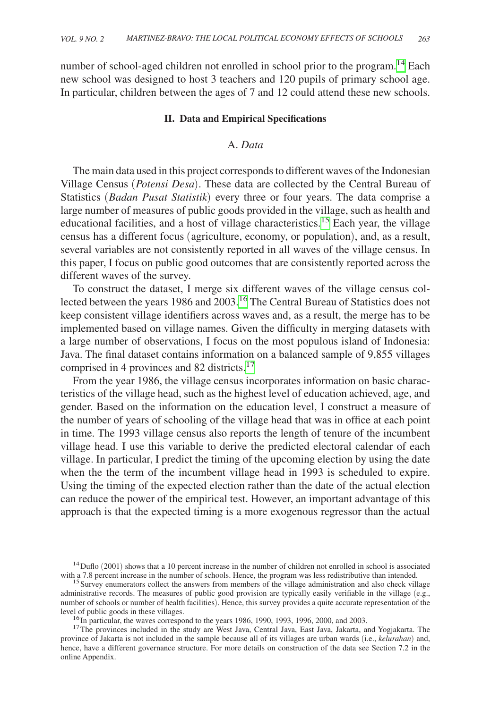number of school-aged children not enrolled in school prior to the program.<sup>14</sup> Each new school was designed to host 3 teachers and 120 pupils of primary school age. In particular, children between the ages of 7 and 12 could attend these new schools.

#### **II. Data and Empirical Specifications**

#### A. *Data*

The main data used in this project corresponds to different waves of the Indonesian Village Census (*Potensi Desa*). These data are collected by the Central Bureau of Statistics (*Badan Pusat Statistik*) every three or four years. The data comprise a large number of measures of public goods provided in the village, such as health and educational facilities, and a host of village characteristics.<sup>[15](#page-7-1)</sup> Each year, the village census has a different focus (agriculture, economy, or population), and, as a result, several variables are not consistently reported in all waves of the village census. In this paper, I focus on public good outcomes that are consistently reported across the different waves of the survey.

To construct the dataset, I merge six different waves of the village census col-lected between the years 1986 and 2003.<sup>[16](#page-7-2)</sup> The Central Bureau of Statistics does not keep consistent village identifiers across waves and, as a result, the merge has to be implemented based on village names. Given the difficulty in merging datasets with a large number of observations, I focus on the most populous island of Indonesia: Java. The final dataset contains information on a balanced sample of 9,855 villages comprised in 4 provinces and 82 districts[.17](#page-7-3)

From the year 1986, the village census incorporates information on basic characteristics of the village head, such as the highest level of education achieved, age, and gender. Based on the information on the education level, I construct a measure of the number of years of schooling of the village head that was in office at each point in time. The 1993 village census also reports the length of tenure of the incumbent village head. I use this variable to derive the predicted electoral calendar of each village. In particular, I predict the timing of the upcoming election by using the date when the the term of the incumbent village head in 1993 is scheduled to expire. Using the timing of the expected election rather than the date of the actual election can reduce the power of the empirical test. However, an important advantage of this approach is that the expected timing is a more exogenous regressor than the actual

<span id="page-7-3"></span><span id="page-7-2"></span>

<span id="page-7-0"></span><sup>&</sup>lt;sup>14</sup>Duflo (2001) shows that a 10 percent increase in the number of children not enrolled in school is associated with a 7.8 percent increase in the number of schools. Hence, the program was less redistributive than intend

<span id="page-7-1"></span> $15$  Survey enumerators collect the answers from members of the village administration and also check village administrative records. The measures of public good provision are typically easily verifiable in the village (e.g., number of schools or number of health facilities). Hence, this survey provides a quite accurate representation of the level of public goods in these villages.

 $^{16}$  In particular, the waves correspond to the years 1986, 1990, 1993, 1996, 2000, and 2003.<br><sup>17</sup> The provinces included in the study are West Java, Central Java, East Java, Jakarta, and Yogjakarta. The province of Jakarta is not included in the sample because all of its villages are urban wards (i.e., *kelurahan*) and, hence, have a different governance structure. For more details on construction of the data see Section 7.2 in the online Appendix.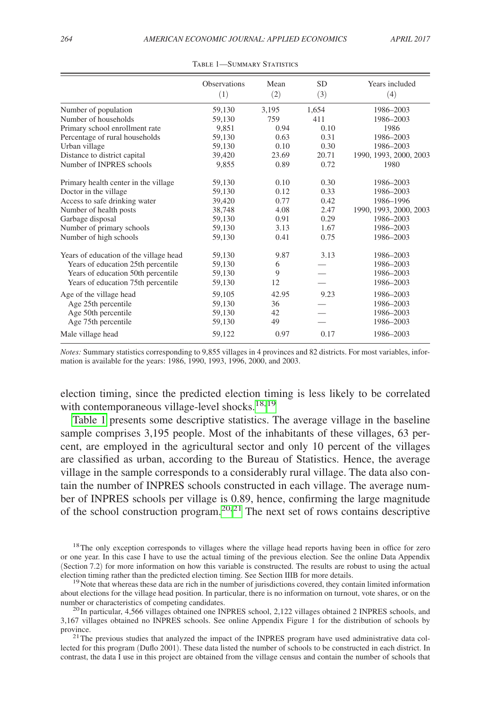|                                        | <b>Observations</b> | Mean  | <b>SD</b> | Years included         |
|----------------------------------------|---------------------|-------|-----------|------------------------|
|                                        | (1)                 | (2)   | (3)       | (4)                    |
| Number of population                   | 59,130              | 3,195 | 1,654     | 1986-2003              |
| Number of households                   | 59.130              | 759   | 411       | 1986-2003              |
| Primary school enrollment rate         | 9,851               | 0.94  | 0.10      | 1986                   |
| Percentage of rural households         | 59,130              | 0.63  | 0.31      | 1986-2003              |
| Urban village                          | 59,130              | 0.10  | 0.30      | 1986-2003              |
| Distance to district capital           | 39,420              | 23.69 | 20.71     | 1990, 1993, 2000, 2003 |
| Number of INPRES schools               | 9.855               | 0.89  | 0.72      | 1980                   |
| Primary health center in the village   | 59,130              | 0.10  | 0.30      | 1986-2003              |
| Doctor in the village                  | 59,130              | 0.12  | 0.33      | 1986-2003              |
| Access to safe drinking water          | 39,420              | 0.77  | 0.42      | 1986-1996              |
| Number of health posts                 | 38,748              | 4.08  | 2.47      | 1990, 1993, 2000, 2003 |
| Garbage disposal                       | 59,130              | 0.91  | 0.29      | 1986-2003              |
| Number of primary schools              | 59,130              | 3.13  | 1.67      | 1986-2003              |
| Number of high schools                 | 59,130              | 0.41  | 0.75      | 1986-2003              |
| Years of education of the village head | 59,130              | 9.87  | 3.13      | 1986-2003              |
| Years of education 25th percentile     | 59,130              | 6     |           | 1986-2003              |
| Years of education 50th percentile     | 59,130              | 9     |           | 1986-2003              |
| Years of education 75th percentile     | 59,130              | 12    |           | 1986-2003              |
| Age of the village head                | 59,105              | 42.95 | 9.23      | 1986-2003              |
| Age 25th percentile                    | 59,130              | 36    |           | 1986-2003              |
| Age 50th percentile                    | 59,130              | 42    |           | 1986-2003              |
| Age 75th percentile                    | 59,130              | 49    |           | 1986-2003              |
| Male village head                      | 59,122              | 0.97  | 0.17      | 1986-2003              |

Table 1—Summary Statistics

*Notes:* Summary statistics corresponding to 9,855 villages in 4 provinces and 82 districts. For most variables, information is available for the years: 1986, 1990, 1993, 1996, 2000, and 2003.

election timing, since the predicted election timing is less likely to be correlated with contemporaneous village-level shocks.<sup>[18,](#page-8-0)[19](#page-8-1)</sup>

Table 1 presents some descriptive statistics. The average village in the baseline sample comprises 3,195 people. Most of the inhabitants of these villages, 63 percent, are employed in the agricultural sector and only 10 percent of the villages are classified as urban, according to the Bureau of Statistics. Hence, the average village in the sample corresponds to a considerably rural village. The data also contain the number of INPRES schools constructed in each village. The average number of INPRES schools per village is 0.89, hence, confirming the large magnitude of the school construction program.<sup>[20,](#page-8-2)21</sup> The next set of rows contains descriptive

<span id="page-8-0"></span><sup>18</sup>The only exception corresponds to villages where the village head reports having been in office for zero or one year. In this case I have to use the actual timing of the previous election. See the online Data Appendix (Section 7.2) for more information on how this variable is constructed. The results are robust to using the actual election timing rather than the predicted election timing. See Section IIIB for more details.

<span id="page-8-3"></span>lected for this program (Duflo 2001). These data listed the number of schools to be constructed in each district. In contrast, the data I use in this project are obtained from the village census and contain the number of schools that

<span id="page-8-1"></span><sup>&</sup>lt;sup>19</sup> Note that whereas these data are rich in the number of jurisdictions covered, they contain limited information about elections for the village head position. In particular, there is no information on turnout, vote shares, or on the number or characteristics of competing candidates.

<span id="page-8-2"></span><sup>&</sup>lt;sup>20</sup> In particular, 4,566 villages obtained one INPRES school, 2,122 villages obtained 2 INPRES schools, and 3,167 villages obtained no INPRES schools. See online Appendix Figure 1 for the distribution of schools by province.<br><sup>21</sup>The previous studies that analyzed the impact of the INPRES program have used administrative data col-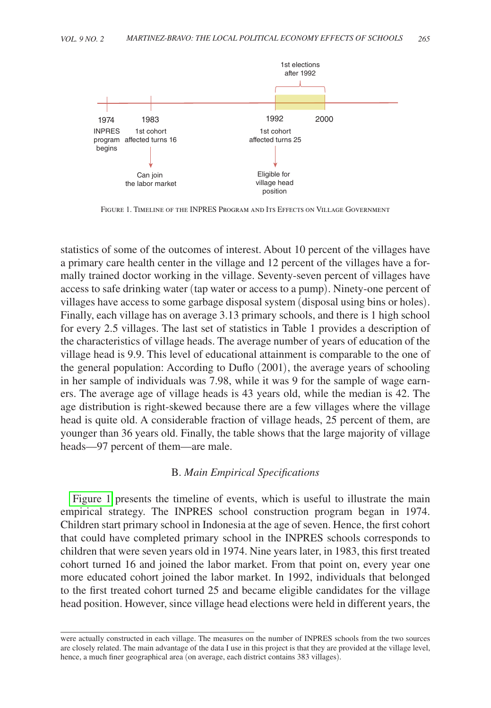

Figure 1. Timeline of the INPRES Program and Its Effects on Village Government

statistics of some of the outcomes of interest. About 10 percent of the villages have a primary care health center in the village and 12 percent of the villages have a formally trained doctor working in the village. Seventy-seven percent of villages have access to safe drinking water (tap water or access to a pump). Ninety-one percent of villages have access to some garbage disposal system (disposal using bins or holes). Finally, each village has on average 3.13 primary schools, and there is 1 high school for every 2.5 villages. The last set of statistics in Table 1 provides a description of the characteristics of village heads. The average number of years of education of the village head is 9.9. This level of educational attainment is comparable to the one of the general population: According to Duflo (2001), the average years of schooling in her sample of individuals was 7.98, while it was 9 for the sample of wage earners. The average age of village heads is 43 years old, while the median is 42. The age distribution is right-skewed because there are a few villages where the village head is quite old. A considerable fraction of village heads, 25 percent of them, are younger than 36 years old. Finally, the table shows that the large majority of village heads—97 percent of them—are male.

# B. *Main Empirical Specifications*

Figure 1 presents the timeline of events, which is useful to illustrate the main empirical strategy. The INPRES school construction program began in 1974. Children start primary school in Indonesia at the age of seven. Hence, the first cohort that could have completed primary school in the INPRES schools corresponds to children that were seven years old in 1974. Nine years later, in 1983, this first treated cohort turned 16 and joined the labor market. From that point on, every year one more educated cohort joined the labor market. In 1992, individuals that belonged to the first treated cohort turned 25 and became eligible candidates for the village head position. However, since village head elections were held in different years, the

were actually constructed in each village. The measures on the number of INPRES schools from the two sources are closely related. The main advantage of the data I use in this project is that they are provided at the village level, hence, a much finer geographical area (on average, each district contains 383 villages).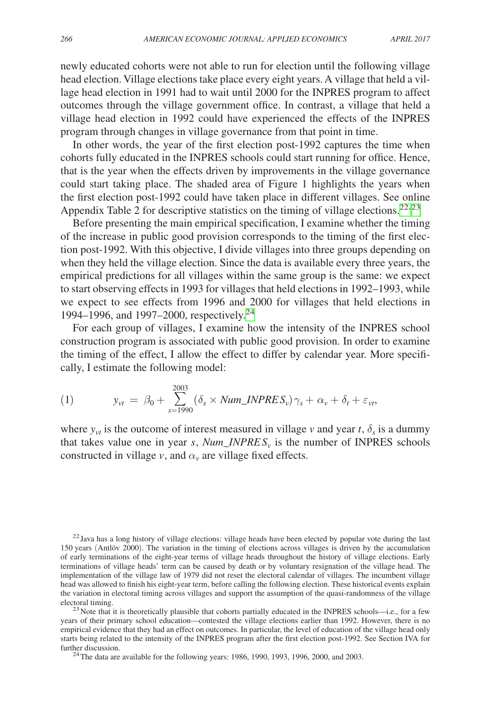newly educated cohorts were not able to run for election until the following village head election. Village elections take place every eight years. A village that held a village head election in 1991 had to wait until 2000 for the INPRES program to affect outcomes through the village government office. In contrast, a village that held a village head election in 1992 could have experienced the effects of the INPRES program through changes in village governance from that point in time.

In other words, the year of the first election post-1992 captures the time when cohorts fully educated in the INPRES schools could start running for office. Hence, that is the year when the effects driven by improvements in the village governance could start taking place. The shaded area of Figure 1 highlights the years when the first election post-1992 could have taken place in different villages. See online Appendix Table 2 for descriptive statistics on the timing of village elections.<sup>[22,](#page-10-0)[23](#page-10-1)</sup>

Before presenting the main empirical specification, I examine whether the timing of the increase in public good provision corresponds to the timing of the first election post-1992. With this objective, I divide villages into three groups depending on when they held the village election. Since the data is available every three years, the empirical predictions for all villages within the same group is the same: we expect to start observing effects in 1993 for villages that held elections in 1992–1993, while we expect to see effects from 1996 and 2000 for villages that held elections in 1994–1996, and 1997–2000, respectively.<sup>[24](#page-10-2)</sup>

For each group of villages, I examine how the intensity of the INPRES school construction program is associated with public good provision. In order to examine the timing of the effect, I allow the effect to differ by calendar year. More specifically, I estimate the following model:

(1) 
$$
y_{vt} = \beta_0 + \sum_{s=1990}^{2003} (\delta_s \times Num\_INPRES_v) \gamma_s + \alpha_v + \delta_t + \varepsilon_{vt},
$$

where  $y_v$  is the outcome of interest measured in village *v* and year *t*,  $\delta_s$  is a dummy that takes value one in year  $s$ ,  $Num$ <sub>*INPRES*<sub>*v*</sub> is the number of INPRES schools</sub> constructed in village  $v$ , and  $\alpha_v$  are village fixed effects.

<span id="page-10-0"></span> $22$  Java has a long history of village elections: village heads have been elected by popular vote during the last 150 years (Antlöv 2000). The variation in the timing of elections across villages is driven by the accumulation of early terminations of the eight-year terms of village heads throughout the history of village elections. Early terminations of village heads' term can be caused by death or by voluntary resignation of the village head. The implementation of the village law of 1979 did not reset the electoral calendar of villages. The incumbent village head was allowed to finish his eight-year term, before calling the following election. These historical events explain the variation in electoral timing across villages and support the assumption of the quasi-randomness of the village electoral timing.

<span id="page-10-1"></span><sup>23</sup>Note that it is theoretically plausible that cohorts partially educated in the INPRES schools—i.e., for a few years of their primary school education—contested the village elections earlier than 1992. However, there is no empirical evidence that they had an effect on outcomes. In particular, the level of education of the village head only starts being related to the intensity of the INPRES program after the first election post-1992. See Section IVA for

<span id="page-10-2"></span><sup>24</sup>The data are available for the following years: 1986, 1990, 1993, 1996, 2000, and 2003.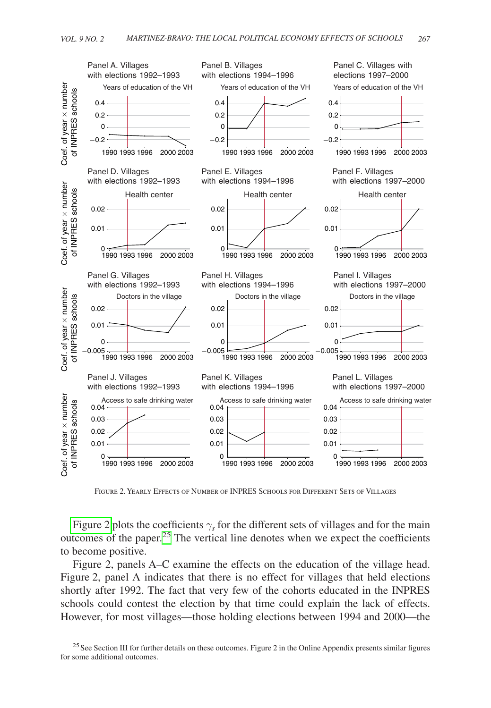

Figure 2. Yearly Effects of Number of INPRES Schools for Different Sets of Villages

Figure 2 plots the coefficients  $\gamma_s$  for the different sets of villages and for the main outcomes of the paper.[25](#page-11-0) The vertical line denotes when we expect the coefficients to become positive.

Figure 2, panels A–C examine the effects on the education of the village head. Figure 2, panel A indicates that there is no effect for villages that held elections shortly after 1992. The fact that very few of the cohorts educated in the INPRES schools could contest the election by that time could explain the lack of effects. However, for most villages—those holding elections between 1994 and 2000—the

<span id="page-11-0"></span><sup>25</sup> See Section III for further details on these outcomes. Figure 2 in the Online Appendix presents similar figures for some additional outcomes.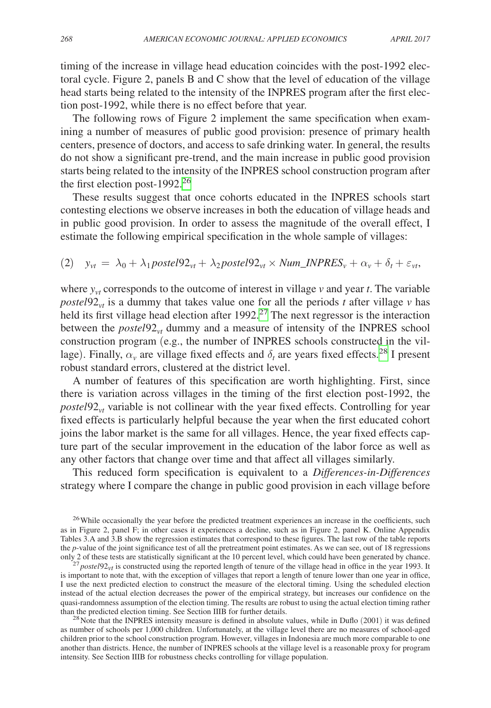timing of the increase in village head education coincides with the post-1992 electoral cycle. Figure 2, panels B and C show that the level of education of the village head starts being related to the intensity of the INPRES program after the first election post-1992, while there is no effect before that year.

The following rows of Figure 2 implement the same specification when examining a number of measures of public good provision: presence of primary health centers, presence of doctors, and access to safe drinking water. In general, the results do not show a significant pre-trend, and the main increase in public good provision starts being related to the intensity of the INPRES school construction program after the first election post-1992.<sup>26</sup>

These results suggest that once cohorts educated in the INPRES schools start contesting elections we observe increases in both the education of village heads and in public good provision. In order to assess the magnitude of the overall effect, I estimate the following empirical specification in the whole sample of villages:

(2) 
$$
y_{vt} = \lambda_0 + \lambda_1
$$
postel92<sub>vt</sub> +  $\lambda_2$ postel92<sub>vt</sub> × Num<sub>1</sub>INPRES<sub>v</sub> +  $\alpha_v$  +  $\delta_t$  +  $\varepsilon_{vt}$ ,

where  $y_{vt}$  corresponds to the outcome of interest in village  $v$  and year  $t$ . The variable *postel* 92 $_v$ *t* is a dummy that takes value one for all the periods *t* after village *v* has held its first village head election after  $1992<sup>27</sup>$  $1992<sup>27</sup>$  $1992<sup>27</sup>$  The next regressor is the interaction between the *postel* 92<sub>*vt*</sub> dummy and a measure of intensity of the INPRES school construction program (e.g., the number of INPRES schools constructed in the village). Finally,  $\alpha_{\nu}$  are village fixed effects and  $\delta_t$  are years fixed effects.<sup>[28](#page-12-2)</sup> I present robust standard errors, clustered at the district level.

A number of features of this specification are worth highlighting. First, since there is variation across villages in the timing of the first election post-1992, the *postel* 92<sub>*vt*</sub> variable is not collinear with the year fixed effects. Controlling for year fixed effects is particularly helpful because the year when the first educated cohort joins the labor market is the same for all villages. Hence, the year fixed effects capture part of the secular improvement in the education of the labor force as well as any other factors that change over time and that affect all villages similarly.

This reduced form specification is equivalent to a *Differences-in-Differences* strategy where I compare the change in public good provision in each village before

<span id="page-12-0"></span><sup>26</sup>While occasionally the year before the predicted treatment experiences an increase in the coefficients, such as in Figure 2, panel F; in other cases it experiences a decline, such as in Figure 2, panel K. Online Appendix Tables 3.A and 3.B show the regression estimates that correspond to these figures. The last row of the table reports the *p*-value of the joint significance test of all the pretreatment point estimates. As we can see, out of 18 regressions only 2 of these tests are statistically significant at the 10 percent level, which could have been

<span id="page-12-1"></span><sup>27</sup> postel92<sub>vt</sub> is constructed using the reported length of tenure of the village head in office in the year 1993. It is important to note that, with the exception of villages that report a length of tenure lower than one year in office, I use the next predicted election to construct the measure of the electoral timing. Using the scheduled election instead of the actual election decreases the power of the empirical strategy, but increases our confidence on the quasi-randomness assumption of the election timing. The results are robust to using the actual election timing rather than the predicted election timing. See Section IIIB for further details.<br><sup>28</sup>Note that the INPRES intensity measure is defined in absolute values, while in Duflo (2001) it was defined

<span id="page-12-2"></span>as number of schools per 1,000 children. Unfortunately, at the village level there are no measures of school-aged children prior to the school construction program. However, villages in Indonesia are much more comparable to one another than districts. Hence, the number of INPRES schools at the village level is a reasonable proxy for program intensity. See Section IIIB for robustness checks controlling for village population.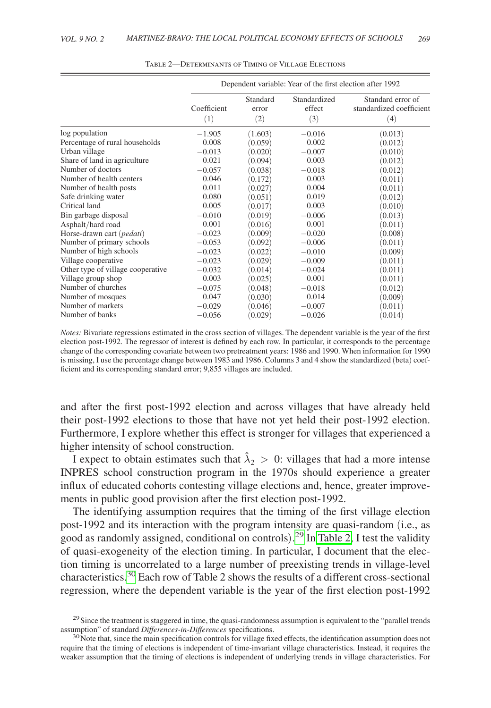|                                    | Dependent variable: Year of the first election after 1992 |                          |                               |                                                      |  |  |
|------------------------------------|-----------------------------------------------------------|--------------------------|-------------------------------|------------------------------------------------------|--|--|
|                                    | Coefficient<br>(1)                                        | Standard<br>error<br>(2) | Standardized<br>effect<br>(3) | Standard error of<br>standardized coefficient<br>(4) |  |  |
| log population                     | $-1.905$                                                  | (1.603)                  | $-0.016$                      | (0.013)                                              |  |  |
| Percentage of rural households     | 0.008                                                     | (0.059)                  | 0.002                         | (0.012)                                              |  |  |
| Urban village                      | $-0.013$                                                  | (0.020)                  | $-0.007$                      | (0.010)                                              |  |  |
| Share of land in agriculture       | 0.021                                                     | (0.094)                  | 0.003                         | (0.012)                                              |  |  |
| Number of doctors                  | $-0.057$                                                  | (0.038)                  | $-0.018$                      | (0.012)                                              |  |  |
| Number of health centers           | 0.046                                                     | (0.172)                  | 0.003                         | (0.011)                                              |  |  |
| Number of health posts             | 0.011                                                     | (0.027)                  | 0.004                         | (0.011)                                              |  |  |
| Safe drinking water                | 0.080                                                     | (0.051)                  | 0.019                         | (0.012)                                              |  |  |
| Critical land                      | 0.005                                                     | (0.017)                  | 0.003                         | (0.010)                                              |  |  |
| Bin garbage disposal               | $-0.010$                                                  | (0.019)                  | $-0.006$                      | (0.013)                                              |  |  |
| Asphalt/hard road                  | 0.001                                                     | (0.016)                  | 0.001                         | (0.011)                                              |  |  |
| Horse-drawn cart ( <i>pedati</i> ) | $-0.023$                                                  | (0.009)                  | $-0.020$                      | (0.008)                                              |  |  |
| Number of primary schools          | $-0.053$                                                  | (0.092)                  | $-0.006$                      | (0.011)                                              |  |  |
| Number of high schools             | $-0.023$                                                  | (0.022)                  | $-0.010$                      | (0.009)                                              |  |  |
| Village cooperative                | $-0.023$                                                  | (0.029)                  | $-0.009$                      | (0.011)                                              |  |  |
| Other type of village cooperative  | $-0.032$                                                  | (0.014)                  | $-0.024$                      | (0.011)                                              |  |  |
| Village group shop                 | 0.003                                                     | (0.025)                  | 0.001                         | (0.011)                                              |  |  |
| Number of churches                 | $-0.075$                                                  | (0.048)                  | $-0.018$                      | (0.012)                                              |  |  |
| Number of mosques                  | 0.047                                                     | (0.030)                  | 0.014                         | (0.009)                                              |  |  |
| Number of markets                  | $-0.029$                                                  | (0.046)                  | $-0.007$                      | (0.011)                                              |  |  |
| Number of banks                    | $-0.056$                                                  | (0.029)                  | $-0.026$                      | (0.014)                                              |  |  |

| TABLE 2—DETERMINANTS OF TIMING OF VILLAGE ELECTIONS |  |
|-----------------------------------------------------|--|
|-----------------------------------------------------|--|

*Notes:* Bivariate regressions estimated in the cross section of villages. The dependent variable is the year of the first election post-1992. The regressor of interest is defined by each row. In particular, it corresponds to the percentage change of the corresponding covariate between two pretreatment years: 1986 and 1990. When information for 1990 is missing, I use the percentage change between 1983 and 1986. Columns 3 and 4 show the standardized (beta) coefficient and its corresponding standard error; 9,855 villages are included.

and after the first post-1992 election and across villages that have already held their post-1992 elections to those that have not yet held their post-1992 election. Furthermore, I explore whether this effect is stronger for villages that experienced a higher intensity of school construction.

I expect to obtain estimates such that  $\hat{\lambda}_2 > 0$ : villages that had a more intense INPRES school construction program in the 1970s should experience a greater influx of educated cohorts contesting village elections and, hence, greater improvements in public good provision after the first election post-1992.

The identifying assumption requires that the timing of the first village election post-1992 and its interaction with the program intensity are quasi-random (i.e., as good as randomly assigned, conditional on controls). [29](#page-13-0) In Table 2, I test the validity of quasi-exogeneity of the election timing. In particular, I document that the election timing is uncorrelated to a large number of preexisting trends in village-level characteristics.[30](#page-13-1) Each row of Table 2 shows the results of a different cross-sectional regression, where the dependent variable is the year of the first election post-1992

<span id="page-13-0"></span><sup>&</sup>lt;sup>29</sup> Since the treatment is staggered in time, the quasi-randomness assumption is equivalent to the "parallel trends assumption" of standard *Differences-in-Differences* specifications.

<span id="page-13-1"></span><sup>&</sup>lt;sup>30</sup> Note that, since the main specification controls for village fixed effects, the identification assumption does not require that the timing of elections is independent of time-invariant village characteristics. Instead, it requires the weaker assumption that the timing of elections is independent of underlying trends in village characteristics. For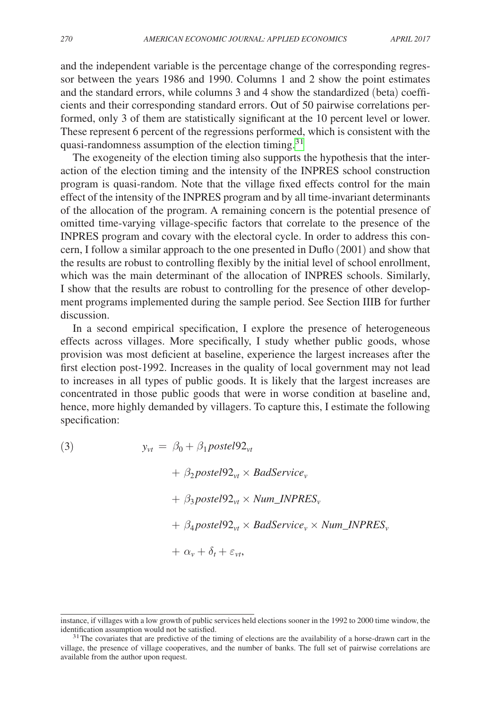and the independent variable is the percentage change of the corresponding regressor between the years 1986 and 1990. Columns 1 and 2 show the point estimates and the standard errors, while columns 3 and 4 show the standardized (beta) coefficients and their corresponding standard errors. Out of 50 pairwise correlations performed, only 3 of them are statistically significant at the 10 percent level or lower. These represent 6 percent of the regressions performed, which is consistent with the quasi-randomness assumption of the election timing. $31$ 

The exogeneity of the election timing also supports the hypothesis that the interaction of the election timing and the intensity of the INPRES school construction program is quasi-random. Note that the village fixed effects control for the main effect of the intensity of the INPRES program and by all time-invariant determinants of the allocation of the program. A remaining concern is the potential presence of omitted time-varying village-specific factors that correlate to the presence of the INPRES program and covary with the electoral cycle. In order to address this concern, I follow a similar approach to the one presented in Duflo (2001) and show that the results are robust to controlling flexibly by the initial level of school enrollment, which was the main determinant of the allocation of INPRES schools. Similarly, I show that the results are robust to controlling for the presence of other development programs implemented during the sample period. See Section IIIB for further discussion.

In a second empirical specification, I explore the presence of heterogeneous effects across villages. More specifically, I study whether public goods, whose provision was most deficient at baseline, experience the largest increases after the first election post-1992. Increases in the quality of local government may not lead to increases in all types of public goods. It is likely that the largest increases are concentrated in those public goods that were in worse condition at baseline and, hence, more highly demanded by villagers. To capture this, I estimate the following specification:

(3) 
$$
y_{vt} = \beta_0 + \beta_1 postel92_{vt} + \beta_2 postel92_{vt} \times BadService_v + \beta_3 postel92_{vt} \times Num\_INPRES_v + \beta_4 postel92_{vt} \times BadService_v \times Num\_INPRES_v + \alpha_v + \delta_t + \varepsilon_{vt},
$$

instance, if villages with a low growth of public services held elections sooner in the 1992 to 2000 time window, the identification assumption would not be satisfied.<br> $31$ The covariates that are predictive of the timing of elections are the availability of a horse-drawn cart in the

<span id="page-14-0"></span>village, the presence of village cooperatives, and the number of banks. The full set of pairwise correlations are available from the author upon request.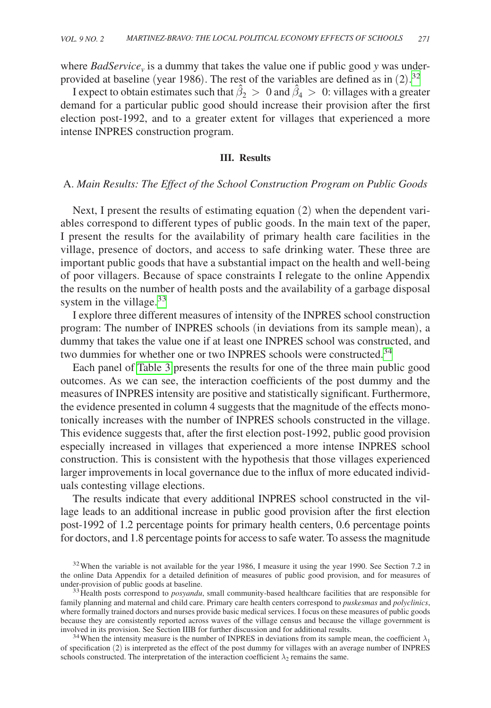where *BadService*<sub>v</sub> is a dummy that takes the value one if public good  $y$  was under-provided at baseline (year 1986). The rest of the variables are defined as in (2).<sup>[32](#page-15-0)</sup>

I expect to obtain estimates such that  $\hat{\beta}_2 > 0$  and  $\hat{\beta}_4 > 0$ : villages with a greater demand for a particular public good should increase their provision after the first election post-1992, and to a greater extent for villages that experienced a more intense INPRES construction program.

#### **III. Results**

### A. *Main Results: The Effect of the School Construction Program on Public Goods*

Next, I present the results of estimating equation (2) when the dependent variables correspond to different types of public goods. In the main text of the paper, I present the results for the availability of primary health care facilities in the village, presence of doctors, and access to safe drinking water. These three are important public goods that have a substantial impact on the health and well-being of poor villagers. Because of space constraints I relegate to the online Appendix the results on the number of health posts and the availability of a garbage disposal system in the village.<sup>[33](#page-15-1)</sup>

I explore three different measures of intensity of the INPRES school construction program: The number of INPRES schools (in deviations from its sample mean), a dummy that takes the value one if at least one INPRES school was constructed, and two dummies for whether one or two INPRES schools were constructed.<sup>[34](#page-15-2)</sup>

Each panel of [Table 3](#page-16-0) presents the results for one of the three main public good outcomes. As we can see, the interaction coefficients of the post dummy and the measures of INPRES intensity are positive and statistically significant. Furthermore, the evidence presented in column 4 suggests that the magnitude of the effects monotonically increases with the number of INPRES schools constructed in the village. This evidence suggests that, after the first election post-1992, public good provision especially increased in villages that experienced a more intense INPRES school construction. This is consistent with the hypothesis that those villages experienced larger improvements in local governance due to the influx of more educated individuals contesting village elections.

The results indicate that every additional INPRES school constructed in the village leads to an additional increase in public good provision after the first election post-1992 of 1.2 percentage points for primary health centers, 0.6 percentage points for doctors, and 1.8 percentage points for access to safe water. To assess the magnitude

<span id="page-15-2"></span>of specification (2) is interpreted as the effect of the post dummy for villages with an average number of INPRES schools constructed. The interpretation of the interaction coefficient  $\lambda_2$  remains the same.

<span id="page-15-0"></span> $32$  When the variable is not available for the year 1986, I measure it using the year 1990. See Section 7.2 in the online Data Appendix for a detailed definition of measures of public good provision, and for measures of under-provision of public goods at baseline.

<span id="page-15-1"></span><sup>&</sup>lt;sup>33</sup>Health posts correspond to *posyandu*, small community-based healthcare facilities that are responsible for family planning and maternal and child care. Primary care health centers correspond to *puskesmas* and *polyclinics*, where formally trained doctors and nurses provide basic medical services. I focus on these measures of public goods because they are consistently reported across waves of the village census and because the village government is involved in its provision. See Section IIIB for further discussion and for additional results. <sup>34</sup>When the intensity measure is the number of INPRES in deviations from its sample mean, the coefficient  $\lambda_1$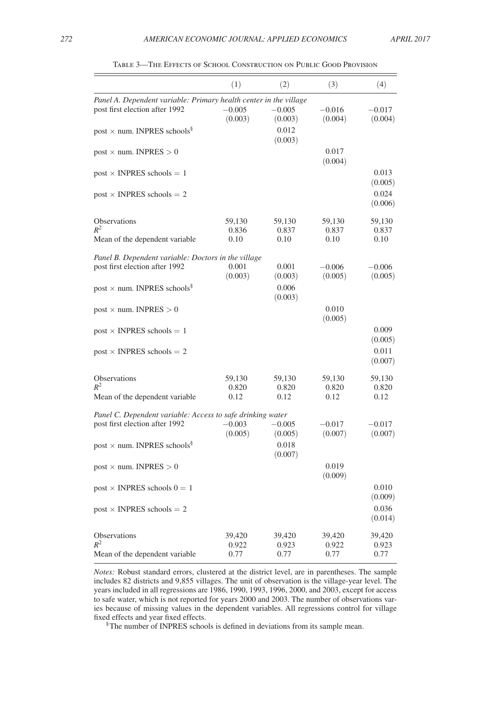<span id="page-16-0"></span>

|                                                                   | (1)      | (2)              | (3)              | (4)      |
|-------------------------------------------------------------------|----------|------------------|------------------|----------|
| Panel A. Dependent variable: Primary health center in the village |          |                  |                  |          |
| post first election after 1992                                    | $-0.005$ | $-0.005$         | $-0.016$         | $-0.017$ |
|                                                                   | (0.003)  | (0.003)          | (0.004)          | (0.004)  |
| post $\times$ num. INPRES schools <sup>§</sup>                    |          | 0.012<br>(0.003) |                  |          |
| $post \times num$ . INPRES $> 0$                                  |          |                  | 0.017<br>(0.004) |          |
| $post \times INPRES$ schools = 1                                  |          |                  |                  | 0.013    |
|                                                                   |          |                  |                  | (0.005)  |
| $post \times INPRES$ schools = 2                                  |          |                  |                  | 0.024    |
|                                                                   |          |                  |                  | (0.006)  |
| <b>Observations</b>                                               | 59,130   | 59,130           | 59,130           | 59,130   |
| $R^2$                                                             | 0.836    | 0.837            | 0.837            | 0.837    |
| Mean of the dependent variable                                    | 0.10     | 0.10             | 0.10             | 0.10     |
| Panel B. Dependent variable: Doctors in the village               |          |                  |                  |          |
| post first election after 1992                                    | 0.001    | 0.001            | $-0.006$         | $-0.006$ |
|                                                                   | (0.003)  | (0.003)          | (0.005)          | (0.005)  |
| post $\times$ num. INPRES schools <sup>§</sup>                    |          | 0.006            |                  |          |
|                                                                   |          | (0.003)          |                  |          |
| $post \times num$ . INPRES $> 0$                                  |          |                  | 0.010<br>(0.005) |          |
|                                                                   |          |                  |                  | 0.009    |
| $post \times INPRES$ schools = 1                                  |          |                  |                  | (0.005)  |
| $post \times INPRES$ schools = 2                                  |          |                  |                  | 0.011    |
|                                                                   |          |                  |                  | (0.007)  |
| Observations                                                      | 59,130   | 59,130           | 59,130           | 59,130   |
| $R^2$                                                             | 0.820    | 0.820            | 0.820            | 0.820    |
| Mean of the dependent variable                                    | 0.12     | 0.12             | 0.12             | 0.12     |
| Panel C. Dependent variable: Access to safe drinking water        |          |                  |                  |          |
| post first election after 1992                                    | $-0.003$ | $-0.005$         | $-0.017$         | $-0.017$ |
|                                                                   | (0.005)  | (0.005)          | (0.007)          | (0.007)  |
| post $\times$ num. INPRES schools <sup>§</sup>                    |          | 0.018            |                  |          |
|                                                                   |          | (0.007)          |                  |          |
| $post \times num$ . INPRES $> 0$                                  |          |                  | 0.019            |          |
|                                                                   |          |                  | (0.009)          | 0.010    |
| $post \times INPRES$ schools $0 = 1$                              |          |                  |                  | (0.009)  |
| $post \times INPRES$ schools = 2                                  |          |                  |                  | 0.036    |
|                                                                   |          |                  |                  | (0.014)  |
| Observations                                                      | 39,420   | 39,420           | 39,420           | 39,420   |
| $R^2$                                                             | 0.922    | 0.923            | 0.922            | 0.923    |
| Mean of the dependent variable.                                   | 0.77     | 0.77             | 0.77             | 0.77     |

Table 3—The Effects of School Construction on Public Good Provision

*Notes:* Robust standard errors, clustered at the district level, are in parentheses. The sample includes 82 districts and 9,855 villages. The unit of observation is the village-year level. The years included in all regressions are 1986, 1990, 1993, 1996, 2000, and 2003, except for access to safe water, which is not reported for years 2000 and 2003. The number of observations varies because of missing values in the dependent variables. All regressions control for village fixed effects and year fixed effects.

§The number of INPRES schools is defined in deviations from its sample mean.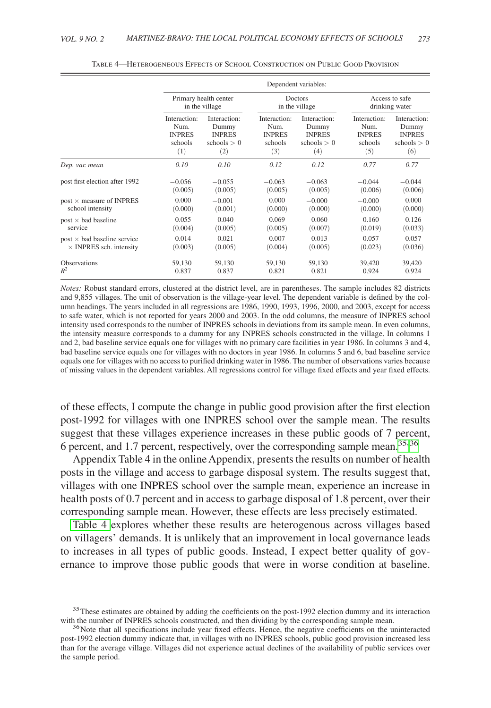|                                    |               | Dependent variables:                    |               |                           |                                  |               |  |  |
|------------------------------------|---------------|-----------------------------------------|---------------|---------------------------|----------------------------------|---------------|--|--|
|                                    |               | Primary health center<br>in the village |               | Doctors<br>in the village | Access to safe<br>drinking water |               |  |  |
|                                    | Interaction:  | Interaction:                            | Interaction:  | Interaction:              | Interaction:                     | Interaction:  |  |  |
|                                    | Num.          | Dummy                                   | Num.          | Dummy                     | Num.                             | Dummy         |  |  |
|                                    | <b>INPRES</b> | <b>INPRES</b>                           | <b>INPRES</b> | <b>INPRES</b>             | <b>INPRES</b>                    | <b>INPRES</b> |  |  |
|                                    | schools       | schools > 0                             | schools       | schools > 0               | schools                          | schools > 0   |  |  |
|                                    | (1)           | (2)                                     | (3)           | (4)                       | (5)                              | (6)           |  |  |
| Dep. var. mean                     | 0.10          | 0.10                                    | 0.12          | 0.12                      | 0.77                             | 0.77          |  |  |
| post first election after 1992     | $-0.056$      | $-0.055$                                | $-0.063$      | $-0.063$                  | $-0.044$                         | $-0.044$      |  |  |
|                                    | (0.005)       | (0.005)                                 | (0.005)       | (0.005)                   | (0.006)                          | (0.006)       |  |  |
| $post \times measure of INPRES$    | 0.000         | $-0.001$                                | 0.000         | $-0.000$                  | $-0.000$                         | 0.000         |  |  |
| school intensity                   | (0.000)       | (0.001)                                 | (0.000)       | (0.000)                   | (0.000)                          | (0.000)       |  |  |
| $post \times bad$ baseline         | 0.055         | 0.040                                   | 0.069         | 0.060                     | 0.160                            | 0.126         |  |  |
| service                            | (0.004)       | (0.005)                                 | (0.005)       | (0.007)                   | (0.019)                          | (0.033)       |  |  |
| $post \times bad$ baseline service | 0.014         | 0.021                                   | 0.007         | 0.013                     | 0.057                            | 0.057         |  |  |
| $\times$ INPRES sch. intensity     | (0.003)       | (0.005)                                 | (0.004)       | (0.005)                   | (0.023)                          | (0.036)       |  |  |
| Observations                       | 59,130        | 59.130                                  | 59,130        | 59,130                    | 39,420                           | 39,420        |  |  |
| $R^2$                              | 0.837         | 0.837                                   | 0.821         | 0.821                     | 0.924                            | 0.924         |  |  |

Table 4—Heterogeneous Effects of School Construction on Public Good Provision

*Notes:* Robust standard errors, clustered at the district level, are in parentheses. The sample includes 82 districts and 9,855 villages. The unit of observation is the village-year level. The dependent variable is defined by the column headings. The years included in all regressions are 1986, 1990, 1993, 1996, 2000, and 2003, except for access to safe water, which is not reported for years 2000 and 2003. In the odd columns, the measure of INPRES school intensity used corresponds to the number of INPRES schools in deviations from its sample mean. In even columns, the intensity measure corresponds to a dummy for any INPRES schools constructed in the village. In columns 1 and 2, bad baseline service equals one for villages with no primary care facilities in year 1986. In columns 3 and 4, bad baseline service equals one for villages with no doctors in year 1986. In columns 5 and 6, bad baseline service equals one for villages with no access to purified drinking water in 1986. The number of observations varies because of missing values in the dependent variables. All regressions control for village fixed effects and year fixed effects.

of these effects, I compute the change in public good provision after the first election post-1992 for villages with one INPRES school over the sample mean. The results suggest that these villages experience increases in these public goods of 7 percent, 6 percent, and 1.7 percent, respectively, over the corresponding sample mean[.35,](#page-17-0)[36](#page-17-1)

Appendix Table 4 in the online Appendix, presents the results on number of health posts in the village and access to garbage disposal system. The results suggest that, villages with one INPRES school over the sample mean, experience an increase in health posts of 0.7 percent and in access to garbage disposal of 1.8 percent, over their corresponding sample mean. However, these effects are less precisely estimated.

Table 4 explores whether these results are heterogenous across villages based on villagers' demands. It is unlikely that an improvement in local governance leads to increases in all types of public goods. Instead, I expect better quality of governance to improve those public goods that were in worse condition at baseline.

<span id="page-17-0"></span><sup>&</sup>lt;sup>35</sup>These estimates are obtained by adding the coefficients on the post-1992 election dummy and its interaction with the number of INPRES schools constructed, and then dividing by the corresponding sample mean.

<span id="page-17-1"></span> $36$  Note that all specifications include year fixed effects. Hence, the negative coefficients on the uninteracted post-1992 election dummy indicate that, in villages with no INPRES schools, public good provision increased less than for the average village. Villages did not experience actual declines of the availability of public services over the sample period.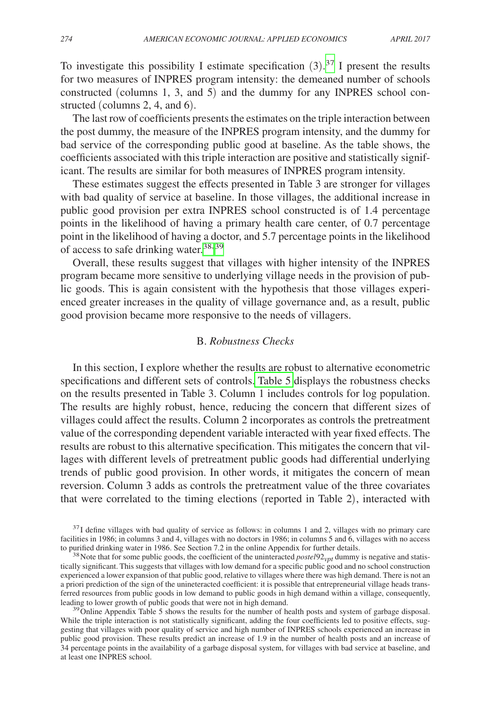To investigate this possibility I estimate specification  $(3)$ .<sup>[37](#page-18-0)</sup> I present the results for two measures of INPRES program intensity: the demeaned number of schools constructed (columns 1, 3, and 5) and the dummy for any INPRES school constructed (columns 2, 4, and 6).

The last row of coefficients presents the estimates on the triple interaction between the post dummy, the measure of the INPRES program intensity, and the dummy for bad service of the corresponding public good at baseline. As the table shows, the coefficients associated with this triple interaction are positive and statistically significant. The results are similar for both measures of INPRES program intensity.

These estimates suggest the effects presented in Table 3 are stronger for villages with bad quality of service at baseline. In those villages, the additional increase in public good provision per extra INPRES school constructed is of 1.4 percentage points in the likelihood of having a primary health care center, of 0.7 percentage point in the likelihood of having a doctor, and 5.7 percentage points in the likelihood of access to safe drinking water.<sup>[38,](#page-18-1)[39](#page-18-2)</sup>

Overall, these results suggest that villages with higher intensity of the INPRES program became more sensitive to underlying village needs in the provision of public goods. This is again consistent with the hypothesis that those villages experienced greater increases in the quality of village governance and, as a result, public good provision became more responsive to the needs of villagers.

# B. *Robustness Checks*

In this section, I explore whether the results are robust to alternative econometric specifications and different sets of controls[. Table 5](#page-19-0) displays the robustness checks on the results presented in Table 3. Column 1 includes controls for log population. The results are highly robust, hence, reducing the concern that different sizes of villages could affect the results. Column 2 incorporates as controls the pretreatment value of the corresponding dependent variable interacted with year fixed effects. The results are robust to this alternative specification. This mitigates the concern that villages with different levels of pretreatment public goods had differential underlying trends of public good provision. In other words, it mitigates the concern of mean reversion. Column 3 adds as controls the pretreatment value of the three covariates that were correlated to the timing elections (reported in Table 2), interacted with

<span id="page-18-2"></span> $\frac{39}{9}$ Online Appendix Table 5 shows the results for the number of health posts and system of garbage disposal. While the triple interaction is not statistically significant, adding the four coefficients led to positive effects, suggesting that villages with poor quality of service and high number of INPRES schools experienced an increase in public good provision. These results predict an increase of 1.9 in the number of health posts and an increase of 34 percentage points in the availability of a garbage disposal system, for villages with bad service at baseline, and at least one INPRES school.

<span id="page-18-0"></span> $37$  I define villages with bad quality of service as follows: in columns 1 and 2, villages with no primary care facilities in 1986; in columns 3 and 4, villages with no doctors in 1986; in columns 5 and 6, villages with no access to purified drinking water in 1986. See Section 7.2 in the online Appendix for further details.

<span id="page-18-1"></span><sup>&</sup>lt;sup>38</sup> Note that for some public goods, the coefficient of the uninteracted *postel* 92*<sub><i>vpt</sub>* dummy is negative and statis-</sub> tically significant. This suggests that villages with low demand for a specific public good and no school construction experienced a lower expansion of that public good, relative to villages where there was high demand. There is not an a priori prediction of the sign of the unineteracted coefficient: it is possible that entrepreneurial village heads transferred resources from public goods in low demand to public goods in high demand within a village, consequently, leading to lower growth of public goods that were not in high demand.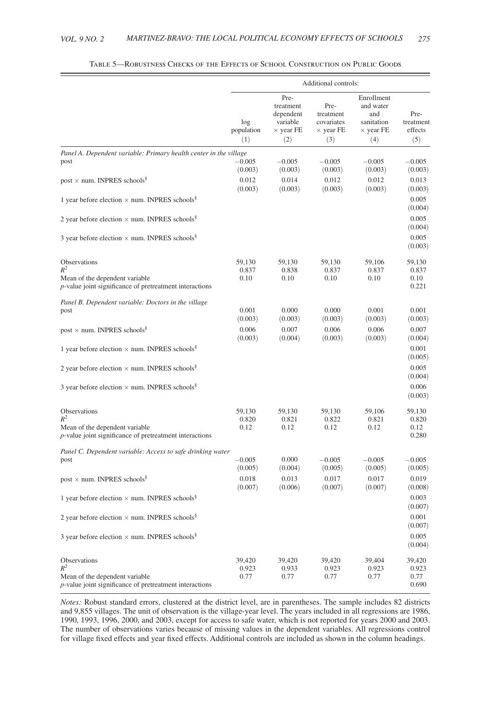<span id="page-19-0"></span>

|                                                                                                            | Additional controls:     |                                                                       |                                                            |                                                                         |                                     |  |
|------------------------------------------------------------------------------------------------------------|--------------------------|-----------------------------------------------------------------------|------------------------------------------------------------|-------------------------------------------------------------------------|-------------------------------------|--|
|                                                                                                            | log<br>population<br>(1) | Pre-<br>treatment<br>dependent<br>variable<br>$\times$ year FE<br>(2) | Pre-<br>treatment<br>covariates<br>$\times$ year FE<br>(3) | Enrollment<br>and water<br>and<br>sanitation<br>$\times$ year FE<br>(4) | Pre-<br>treatment<br>effects<br>(5) |  |
| Panel A. Dependent variable: Primary health center in the village                                          |                          |                                                                       |                                                            |                                                                         |                                     |  |
| post                                                                                                       | $-0.005$<br>(0.003)      | $-0.005$<br>(0.003)                                                   | $-0.005$<br>(0.003)                                        | $-0.005$<br>(0.003)                                                     | $-0.005$<br>(0.003)                 |  |
| post $\times$ num. INPRES schools <sup>§</sup>                                                             | 0.012<br>(0.003)         | 0.014<br>(0.003)                                                      | 0.012<br>(0.003)                                           | 0.012<br>(0.003)                                                        | 0.013<br>(0.003)                    |  |
| 1 year before election $\times$ num. INPRES schools <sup>§</sup>                                           |                          |                                                                       |                                                            |                                                                         | 0.005<br>(0.004)                    |  |
| 2 year before election $\times$ num. INPRES schools <sup>§</sup>                                           |                          |                                                                       |                                                            |                                                                         | 0.005<br>(0.004)                    |  |
| 3 year before election $\times$ num. INPRES schools <sup>§</sup>                                           |                          |                                                                       |                                                            |                                                                         | 0.005<br>(0.003)                    |  |
| Observations                                                                                               | 59,130                   | 59,130                                                                | 59,130                                                     | 59,106                                                                  | 59,130                              |  |
| $R^2$<br>Mean of the dependent variable<br>$p$ -value joint significance of pretreatment interactions      | 0.837<br>0.10            | 0.838<br>0.10                                                         | 0.837<br>0.10                                              | 0.837<br>0.10                                                           | 0.837<br>0.10<br>0.221              |  |
| Panel B. Dependent variable: Doctors in the village                                                        |                          |                                                                       |                                                            |                                                                         |                                     |  |
| post                                                                                                       | 0.001<br>(0.003)         | 0.000<br>(0.003)                                                      | 0.000<br>(0.003)                                           | 0.001<br>(0.003)                                                        | 0.001<br>(0.003)                    |  |
| post $\times$ num. INPRES schools <sup>§</sup>                                                             | 0.006<br>(0.003)         | 0.007<br>(0.004)                                                      | 0.006<br>(0.003)                                           | 0.006<br>(0.003)                                                        | 0.007<br>(0.004)                    |  |
| 1 year before election $\times$ num. INPRES schools <sup>§</sup>                                           |                          |                                                                       |                                                            |                                                                         | 0.001<br>(0.005)                    |  |
| 2 year before election $\times$ num. INPRES schools <sup>§</sup>                                           |                          |                                                                       |                                                            |                                                                         | 0.005<br>(0.004)                    |  |
| 3 year before election $\times$ num. INPRES schools <sup>§</sup>                                           |                          |                                                                       |                                                            |                                                                         | 0.006<br>(0.003)                    |  |
| Observations<br>$R^2$                                                                                      | 59.130<br>0.820          | 59.130<br>0.821                                                       | 59,130<br>0.822                                            | 59.106<br>0.821                                                         | 59.130<br>0.820                     |  |
| Mean of the dependent variable<br><i>p</i> -value joint significance of pretreatment interactions          | 0.12                     | 0.12                                                                  | 0.12                                                       | 0.12                                                                    | 0.12<br>0.280                       |  |
| Panel C. Dependent variable: Access to safe drinking water                                                 |                          |                                                                       |                                                            |                                                                         |                                     |  |
| post                                                                                                       | $-0.005$<br>(0.005)      | 0.000<br>(0.004)                                                      | $-0.005$<br>(0.005)                                        | $-0.005$<br>(0.005)                                                     | $-0.005$<br>(0.005)                 |  |
| post $\times$ num. INPRES schools <sup>§</sup>                                                             | 0.018<br>(0.007)         | 0.013<br>(0.006)                                                      | 0.017<br>(0.007)                                           | 0.017<br>(0.007)                                                        | 0.019<br>(0.008)                    |  |
| 1 year before election $\times$ num. INPRES schools <sup>§</sup>                                           |                          |                                                                       |                                                            |                                                                         | 0.003<br>(0.007)                    |  |
| 2 year before election $\times$ num. INPRES schools <sup>§</sup>                                           |                          |                                                                       |                                                            |                                                                         | 0.001<br>(0.007)                    |  |
| 3 year before election $\times$ num. INPRES schools <sup>§</sup>                                           |                          |                                                                       |                                                            |                                                                         | 0.005<br>(0.004)                    |  |
| Observations                                                                                               | 39,420                   | 39,420                                                                | 39,420                                                     | 39,404                                                                  | 39,420                              |  |
| $R^2$<br>Mean of the dependent variable<br><i>p</i> -value joint significance of pretreatment interactions | 0.923<br>0.77            | 0.933<br>0.77                                                         | 0.923<br>0.77                                              | 0.923<br>0.77                                                           | 0.923<br>0.77<br>0.690              |  |

Table 5—Robustness Checks of the Effects of School Construction on Public Goods

*Notes:* Robust standard errors, clustered at the district level, are in parentheses. The sample includes 82 districts and 9,855 villages. The unit of observation is the village-year level. The years included in all regressions are 1986, 1990, 1993, 1996, 2000, and 2003, except for access to safe water, which is not reported for years 2000 and 2003. The number of observations varies because of missing values in the dependent variables. All regressions control for village fixed effects and year fixed effects. Additional controls are included as shown in the column headings.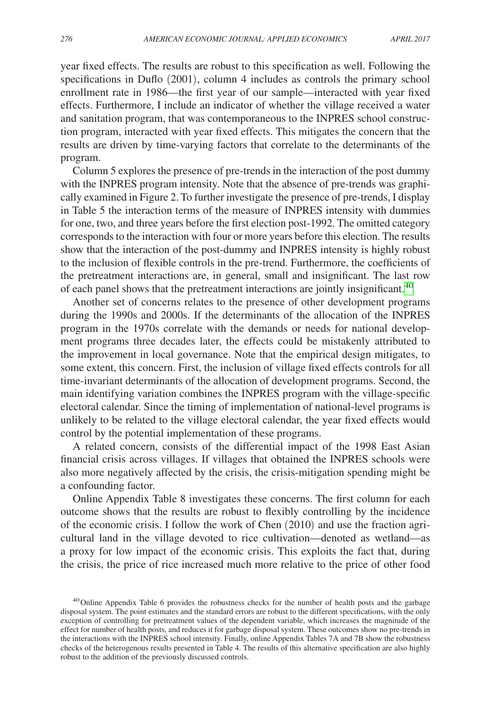year fixed effects. The results are robust to this specification as well. Following the specifications in Duflo (2001), column 4 includes as controls the primary school enrollment rate in 1986—the first year of our sample—interacted with year fixed effects. Furthermore, I include an indicator of whether the village received a water and sanitation program, that was contemporaneous to the INPRES school construction program, interacted with year fixed effects. This mitigates the concern that the results are driven by time-varying factors that correlate to the determinants of the program.

Column 5 explores the presence of pre-trends in the interaction of the post dummy with the INPRES program intensity. Note that the absence of pre-trends was graphically examined in Figure 2. To further investigate the presence of pre-trends, I display in Table 5 the interaction terms of the measure of INPRES intensity with dummies for one, two, and three years before the first election post-1992. The omitted category corresponds to the interaction with four or more years before this election. The results show that the interaction of the post-dummy and INPRES intensity is highly robust to the inclusion of flexible controls in the pre-trend. Furthermore, the coefficients of the pretreatment interactions are, in general, small and insignificant. The last row of each panel shows that the pretreatment interactions are jointly insignificant.[40](#page-20-0)

Another set of concerns relates to the presence of other development programs during the 1990s and 2000s. If the determinants of the allocation of the INPRES program in the 1970s correlate with the demands or needs for national development programs three decades later, the effects could be mistakenly attributed to the improvement in local governance. Note that the empirical design mitigates, to some extent, this concern. First, the inclusion of village fixed effects controls for all time-invariant determinants of the allocation of development programs. Second, the main identifying variation combines the INPRES program with the village-specific electoral calendar. Since the timing of implementation of national-level programs is unlikely to be related to the village electoral calendar, the year fixed effects would control by the potential implementation of these programs.

A related concern, consists of the differential impact of the 1998 East Asian financial crisis across villages. If villages that obtained the INPRES schools were also more negatively affected by the crisis, the crisis-mitigation spending might be a confounding factor.

Online Appendix Table 8 investigates these concerns. The first column for each outcome shows that the results are robust to flexibly controlling by the incidence of the economic crisis. I follow the work of Chen (2010) and use the fraction agricultural land in the village devoted to rice cultivation—denoted as wetland—as a proxy for low impact of the economic crisis. This exploits the fact that, during the crisis, the price of rice increased much more relative to the price of other food

<span id="page-20-0"></span><sup>40</sup>Online Appendix Table 6 provides the robustness checks for the number of health posts and the garbage disposal system. The point estimates and the standard errors are robust to the different specifications, with the only exception of controlling for pretreatment values of the dependent variable, which increases the magnitude of the effect for number of health posts, and reduces it for garbage disposal system. These outcomes show no pre-trends in the interactions with the INPRES school intensity. Finally, online Appendix Tables 7A and 7B show the robustness checks of the heterogenous results presented in Table 4. The results of this alternative specification are also highly robust to the addition of the previously discussed controls.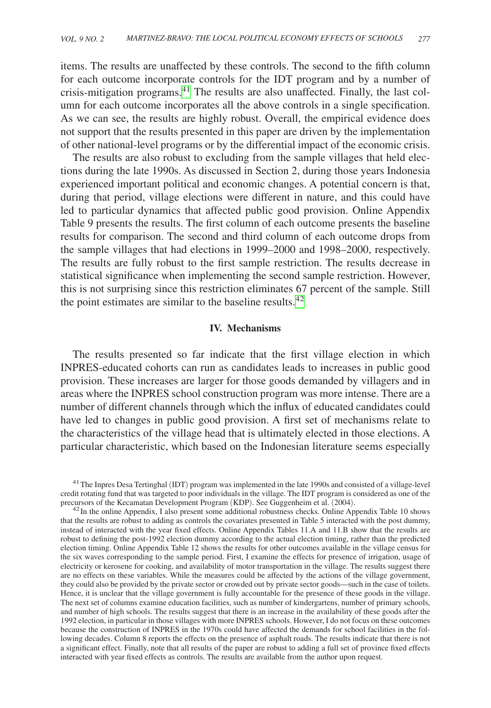items. The results are unaffected by these controls. The second to the fifth column for each outcome incorporate controls for the IDT program and by a number of crisis-mitigation programs.[41](#page-21-0) The results are also unaffected. Finally, the last column for each outcome incorporates all the above controls in a single specification. As we can see, the results are highly robust. Overall, the empirical evidence does not support that the results presented in this paper are driven by the implementation of other national-level programs or by the differential impact of the economic crisis.

The results are also robust to excluding from the sample villages that held elections during the late 1990s. As discussed in Section 2, during those years Indonesia experienced important political and economic changes. A potential concern is that, during that period, village elections were different in nature, and this could have led to particular dynamics that affected public good provision. Online Appendix Table 9 presents the results. The first column of each outcome presents the baseline results for comparison. The second and third column of each outcome drops from the sample villages that had elections in 1999–2000 and 1998–2000, respectively. The results are fully robust to the first sample restriction. The results decrease in statistical significance when implementing the second sample restriction. However, this is not surprising since this restriction eliminates 67 percent of the sample. Still the point estimates are similar to the baseline results.<sup>[42](#page-21-1)</sup>

#### **IV. Mechanisms**

The results presented so far indicate that the first village election in which INPRES-educated cohorts can run as candidates leads to increases in public good provision. These increases are larger for those goods demanded by villagers and in areas where the INPRES school construction program was more intense. There are a number of different channels through which the influx of educated candidates could have led to changes in public good provision. A first set of mechanisms relate to the characteristics of the village head that is ultimately elected in those elections. A particular characteristic, which based on the Indonesian literature seems especially

<span id="page-21-0"></span><sup>&</sup>lt;sup>41</sup>The Inpres Desa Tertinghal (IDT) program was implemented in the late 1990s and consisted of a village-level credit rotating fund that was targeted to poor individuals in the village. The IDT program is considered as one of the precursors of the Kecamatan Development Program (KDP). See Guggenheim et al. (2004).

<span id="page-21-1"></span> $^{42}$ In the online Appendix, I also present some additional robustness checks. Online Appendix Table 10 shows that the results are robust to adding as controls the covariates presented in Table 5 interacted with the post dummy, instead of interacted with the year fixed effects. Online Appendix Tables 11.A and 11.B show that the results are robust to defining the post-1992 election dummy according to the actual election timing, rather than the predicted election timing. Online Appendix Table 12 shows the results for other outcomes available in the village census for the six waves corresponding to the sample period. First, I examine the effects for presence of irrigation, usage of electricity or kerosene for cooking, and availability of motor transportation in the village. The results suggest there are no effects on these variables. While the measures could be affected by the actions of the village government, they could also be provided by the private sector or crowded out by private sector goods—such in the case of toilets. Hence, it is unclear that the village government is fully accountable for the presence of these goods in the village. The next set of columns examine education facilities, such as number of kindergartens, number of primary schools, and number of high schools. The results suggest that there is an increase in the availability of these goods after the 1992 election, in particular in those villages with more INPRES schools. However, I do not focus on these outcomes because the construction of INPRES in the 1970s could have affected the demands for school facilities in the following decades. Column 8 reports the effects on the presence of asphalt roads. The results indicate that there is not a significant effect. Finally, note that all results of the paper are robust to adding a full set of province fixed effects interacted with year fixed effects as controls. The results are available from the author upon request.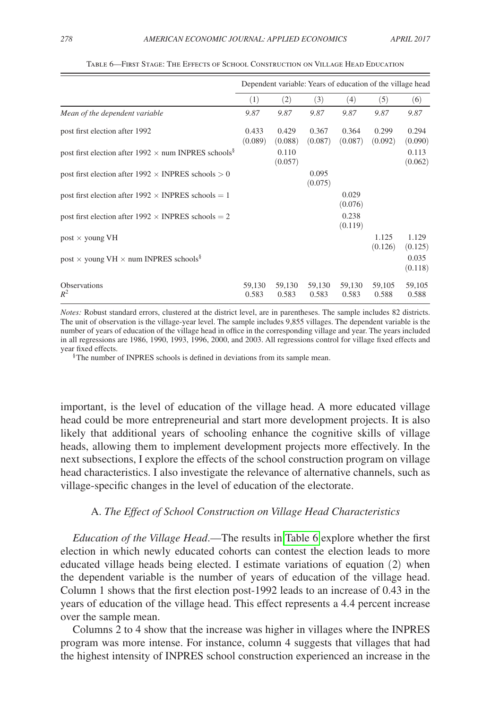|                                                                         | Dependent variable: Years of education of the village head |                  |                  |                  |                  |                  |
|-------------------------------------------------------------------------|------------------------------------------------------------|------------------|------------------|------------------|------------------|------------------|
|                                                                         | (1)                                                        | (2)              | (3)              | (4)              | (5)              | (6)              |
| Mean of the dependent variable                                          | 9.87                                                       | 9.87             | 9.87             | 9.87             | 9.87             | 9.87             |
| post first election after 1992                                          | 0.433<br>(0.089)                                           | 0.429<br>(0.088) | 0.367<br>(0.087) | 0.364<br>(0.087) | 0.299<br>(0.092) | 0.294<br>(0.090) |
| post first election after $1992 \times$ num INPRES schools <sup>§</sup> |                                                            | 0.110<br>(0.057) |                  |                  |                  | 0.113<br>(0.062) |
| post first election after $1992 \times \text{INPRES}$ schools $> 0$     |                                                            |                  | 0.095<br>(0.075) |                  |                  |                  |
| post first election after $1992 \times \text{INPRES}$ schools = 1       |                                                            |                  |                  | 0.029<br>(0.076) |                  |                  |
| post first election after $1992 \times \text{INPRES}$ schools = 2       |                                                            |                  |                  | 0.238<br>(0.119) |                  |                  |
| $post \times young VH$                                                  |                                                            |                  |                  |                  | 1.125<br>(0.126) | 1.129<br>(0.125) |
| post $\times$ young VH $\times$ num INPRES schools <sup>§</sup>         |                                                            |                  |                  |                  |                  | 0.035<br>(0.118) |
| <b>Observations</b><br>$R^2$                                            | 59,130<br>0.583                                            | 59,130<br>0.583  | 59,130<br>0.583  | 59,130<br>0.583  | 59,105<br>0.588  | 59,105<br>0.588  |

Table 6—First Stage: The Effects of School Construction on Village Head Education

*Notes:* Robust standard errors, clustered at the district level, are in parentheses. The sample includes 82 districts. The unit of observation is the village-year level. The sample includes 9,855 villages. The dependent variable is the number of years of education of the village head in office in the corresponding village and year. The years included in all regressions are 1986, 1990, 1993, 1996, 2000, and 2003. All regressions control for village fixed effects and year fixed effects.

§The number of INPRES schools is defined in deviations from its sample mean.

important, is the level of education of the village head. A more educated village head could be more entrepreneurial and start more development projects. It is also likely that additional years of schooling enhance the cognitive skills of village heads, allowing them to implement development projects more effectively. In the next subsections, I explore the effects of the school construction program on village head characteristics. I also investigate the relevance of alternative channels, such as village-specific changes in the level of education of the electorate.

# A. *The Effect of School Construction on Village Head Characteristics*

*Education of the Village Head*.—The results in Table 6 explore whether the first election in which newly educated cohorts can contest the election leads to more educated village heads being elected. I estimate variations of equation (2) when the dependent variable is the number of years of education of the village head. Column 1 shows that the first election post-1992 leads to an increase of 0.43 in the years of education of the village head. This effect represents a 4.4 percent increase over the sample mean.

Columns 2 to 4 show that the increase was higher in villages where the INPRES program was more intense. For instance, column 4 suggests that villages that had the highest intensity of INPRES school construction experienced an increase in the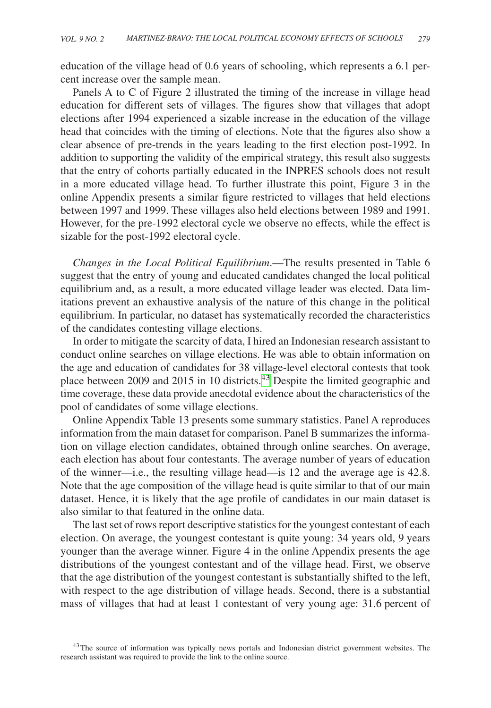education of the village head of 0.6 years of schooling, which represents a 6.1 percent increase over the sample mean.

Panels A to C of Figure 2 illustrated the timing of the increase in village head education for different sets of villages. The figures show that villages that adopt elections after 1994 experienced a sizable increase in the education of the village head that coincides with the timing of elections. Note that the figures also show a clear absence of pre-trends in the years leading to the first election post-1992. In addition to supporting the validity of the empirical strategy, this result also suggests that the entry of cohorts partially educated in the INPRES schools does not result in a more educated village head. To further illustrate this point, Figure 3 in the online Appendix presents a similar figure restricted to villages that held elections between 1997 and 1999. These villages also held elections between 1989 and 1991. However, for the pre-1992 electoral cycle we observe no effects, while the effect is sizable for the post-1992 electoral cycle.

*Changes in the Local Political Equilibrium*.—The results presented in Table 6 suggest that the entry of young and educated candidates changed the local political equilibrium and, as a result, a more educated village leader was elected. Data limitations prevent an exhaustive analysis of the nature of this change in the political equilibrium. In particular, no dataset has systematically recorded the characteristics of the candidates contesting village elections.

In order to mitigate the scarcity of data, I hired an Indonesian research assistant to conduct online searches on village elections. He was able to obtain information on the age and education of candidates for 38 village-level electoral contests that took place between 2009 and 2015 in 10 districts.[43](#page-23-0) Despite the limited geographic and time coverage, these data provide anecdotal evidence about the characteristics of the pool of candidates of some village elections.

Online Appendix Table 13 presents some summary statistics. Panel A reproduces information from the main dataset for comparison. Panel B summarizes the information on village election candidates, obtained through online searches. On average, each election has about four contestants. The average number of years of education of the winner—i.e., the resulting village head—is 12 and the average age is 42.8. Note that the age composition of the village head is quite similar to that of our main dataset. Hence, it is likely that the age profile of candidates in our main dataset is also similar to that featured in the online data.

The last set of rows report descriptive statistics for the youngest contestant of each election. On average, the youngest contestant is quite young: 34 years old, 9 years younger than the average winner. Figure 4 in the online Appendix presents the age distributions of the youngest contestant and of the village head. First, we observe that the age distribution of the youngest contestant is substantially shifted to the left, with respect to the age distribution of village heads. Second, there is a substantial mass of villages that had at least 1 contestant of very young age: 31.6 percent of

<span id="page-23-0"></span><sup>&</sup>lt;sup>43</sup>The source of information was typically news portals and Indonesian district government websites. The research assistant was required to provide the link to the online source.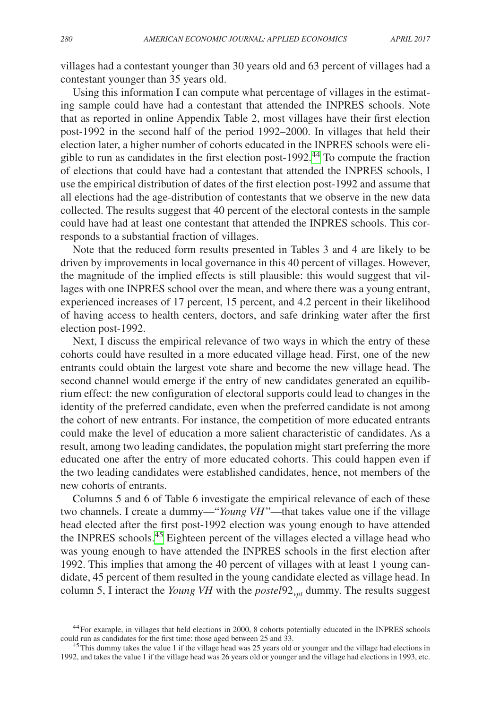villages had a contestant younger than 30 years old and 63 percent of villages had a contestant younger than 35 years old.

Using this information I can compute what percentage of villages in the estimating sample could have had a contestant that attended the INPRES schools. Note that as reported in online Appendix Table 2, most villages have their first election post-1992 in the second half of the period 1992–2000. In villages that held their election later, a higher number of cohorts educated in the INPRES schools were eligible to run as candidates in the first election post-1992.[44](#page-24-0) To compute the fraction of elections that could have had a contestant that attended the INPRES schools, I use the empirical distribution of dates of the first election post-1992 and assume that all elections had the age-distribution of contestants that we observe in the new data collected. The results suggest that 40 percent of the electoral contests in the sample could have had at least one contestant that attended the INPRES schools. This corresponds to a substantial fraction of villages.

Note that the reduced form results presented in Tables 3 and 4 are likely to be driven by improvements in local governance in this 40 percent of villages. However, the magnitude of the implied effects is still plausible: this would suggest that villages with one INPRES school over the mean, and where there was a young entrant, experienced increases of 17 percent, 15 percent, and 4.2 percent in their likelihood of having access to health centers, doctors, and safe drinking water after the first election post-1992.

Next, I discuss the empirical relevance of two ways in which the entry of these cohorts could have resulted in a more educated village head. First, one of the new entrants could obtain the largest vote share and become the new village head. The second channel would emerge if the entry of new candidates generated an equilibrium effect: the new configuration of electoral supports could lead to changes in the identity of the preferred candidate, even when the preferred candidate is not among the cohort of new entrants. For instance, the competition of more educated entrants could make the level of education a more salient characteristic of candidates. As a result, among two leading candidates, the population might start preferring the more educated one after the entry of more educated cohorts. This could happen even if the two leading candidates were established candidates, hence, not members of the new cohorts of entrants.

Columns 5 and 6 of Table 6 investigate the empirical relevance of each of these two channels. I create a dummy—"*Young VH*"—that takes value one if the village head elected after the first post-1992 election was young enough to have attended the INPRES schools.<sup>45</sup> Eighteen percent of the villages elected a village head who was young enough to have attended the INPRES schools in the first election after 1992. This implies that among the 40 percent of villages with at least 1 young candidate, 45 percent of them resulted in the young candidate elected as village head. In column 5, I interact the *Young VH* with the *postel* 92*vpt* dummy. The results suggest

<span id="page-24-0"></span><sup>&</sup>lt;sup>44</sup>For example, in villages that held elections in 2000, 8 cohorts potentially educated in the INPRES schools could run as candidates for the first time: those aged between 25 and 33. 45This dummy takes the value 1 if the village head was 25 years old or younger and the village had elections in

<span id="page-24-1"></span><sup>1992,</sup> and takes the value 1 if the village head was 26 years old or younger and the village had elections in 1993, etc.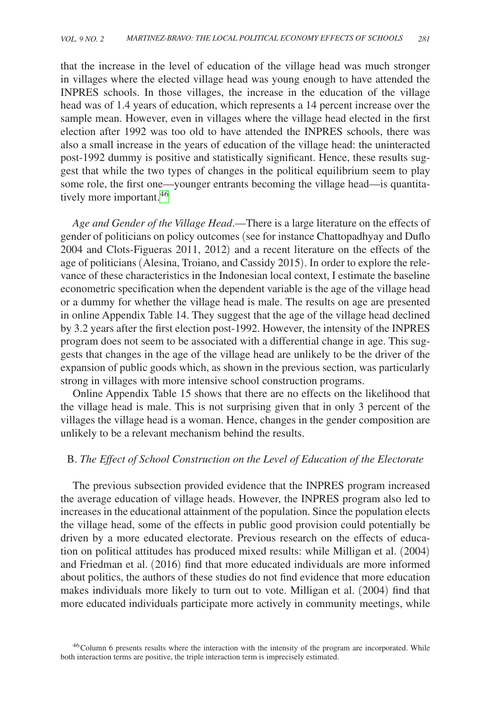that the increase in the level of education of the village head was much stronger in villages where the elected village head was young enough to have attended the INPRES schools. In those villages, the increase in the education of the village head was of 1.4 years of education, which represents a 14 percent increase over the sample mean. However, even in villages where the village head elected in the first election after 1992 was too old to have attended the INPRES schools, there was also a small increase in the years of education of the village head: the uninteracted post-1992 dummy is positive and statistically significant. Hence, these results suggest that while the two types of changes in the political equilibrium seem to play some role, the first one—younger entrants becoming the village head—is quantitatively more important.<sup>46</sup>

*Age and Gender of the Village Head*.—There is a large literature on the effects of gender of politicians on policy outcomes (see for instance Chattopadhyay and Duflo 2004 and Clots-Figueras 2011, 2012) and a recent literature on the effects of the age of politicians (Alesina, Troiano, and Cassidy 2015). In order to explore the relevance of these characteristics in the Indonesian local context, I estimate the baseline econometric specification when the dependent variable is the age of the village head or a dummy for whether the village head is male. The results on age are presented in online Appendix Table 14. They suggest that the age of the village head declined by 3.2 years after the first election post-1992. However, the intensity of the INPRES program does not seem to be associated with a differential change in age. This suggests that changes in the age of the village head are unlikely to be the driver of the expansion of public goods which, as shown in the previous section, was particularly strong in villages with more intensive school construction programs.

Online Appendix Table 15 shows that there are no effects on the likelihood that the village head is male. This is not surprising given that in only 3 percent of the villages the village head is a woman. Hence, changes in the gender composition are unlikely to be a relevant mechanism behind the results.

### B. *The Effect of School Construction on the Level of Education of the Electorate*

The previous subsection provided evidence that the INPRES program increased the average education of village heads. However, the INPRES program also led to increases in the educational attainment of the population. Since the population elects the village head, some of the effects in public good provision could potentially be driven by a more educated electorate. Previous research on the effects of education on political attitudes has produced mixed results: while Milligan et al. (2004) and Friedman et al. (2016) find that more educated individuals are more informed about politics, the authors of these studies do not find evidence that more education makes individuals more likely to turn out to vote. Milligan et al. (2004) find that more educated individuals participate more actively in community meetings, while

<span id="page-25-0"></span><sup>46</sup>Column 6 presents results where the interaction with the intensity of the program are incorporated. While both interaction terms are positive, the triple interaction term is imprecisely estimated.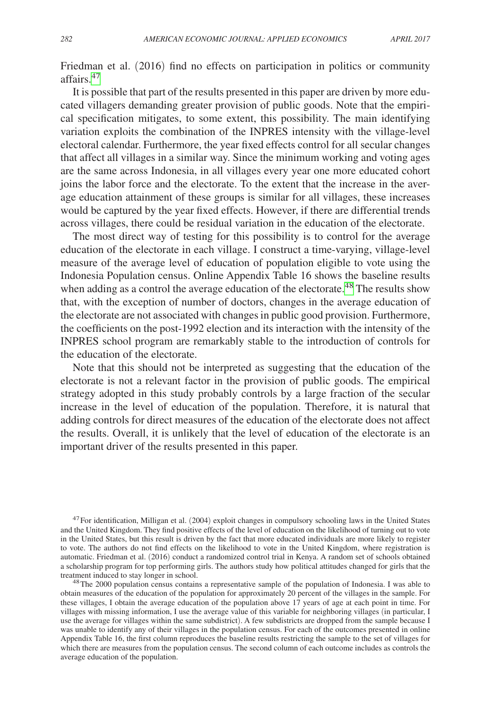Friedman et al. (2016) find no effects on participation in politics or community affairs<sup>47</sup>

It is possible that part of the results presented in this paper are driven by more educated villagers demanding greater provision of public goods. Note that the empirical specification mitigates, to some extent, this possibility. The main identifying variation exploits the combination of the INPRES intensity with the village-level electoral calendar. Furthermore, the year fixed effects control for all secular changes that affect all villages in a similar way. Since the minimum working and voting ages are the same across Indonesia, in all villages every year one more educated cohort joins the labor force and the electorate. To the extent that the increase in the average education attainment of these groups is similar for all villages, these increases would be captured by the year fixed effects. However, if there are differential trends across villages, there could be residual variation in the education of the electorate.

The most direct way of testing for this possibility is to control for the average education of the electorate in each village. I construct a time-varying, village-level measure of the average level of education of population eligible to vote using the Indonesia Population census. Online Appendix Table 16 shows the baseline results when adding as a control the average education of the electorate.<sup>[48](#page-26-1)</sup> The results show that, with the exception of number of doctors, changes in the average education of the electorate are not associated with changes in public good provision. Furthermore, the coefficients on the post-1992 election and its interaction with the intensity of the INPRES school program are remarkably stable to the introduction of controls for the education of the electorate.

Note that this should not be interpreted as suggesting that the education of the electorate is not a relevant factor in the provision of public goods. The empirical strategy adopted in this study probably controls by a large fraction of the secular increase in the level of education of the population. Therefore, it is natural that adding controls for direct measures of the education of the electorate does not affect the results. Overall, it is unlikely that the level of education of the electorate is an important driver of the results presented in this paper.

<span id="page-26-0"></span><sup>47</sup>For identification, Milligan et al. (2004) exploit changes in compulsory schooling laws in the United States and the United Kingdom. They find positive effects of the level of education on the likelihood of turning out to vote in the United States, but this result is driven by the fact that more educated individuals are more likely to register to vote. The authors do not find effects on the likelihood to vote in the United Kingdom, where registration is automatic. Friedman et al. (2016) conduct a randomized control trial in Kenya. A random set of schools obtained a scholarship program for top performing girls. The authors study how political attitudes changed for girls that the treatment induced to stay longer in school. 48The 2000 population census contains a representative sample of the population of Indonesia. I was able to

<span id="page-26-1"></span>obtain measures of the education of the population for approximately 20 percent of the villages in the sample. For these villages, I obtain the average education of the population above 17 years of age at each point in time. For villages with missing information, I use the average value of this variable for neighboring villages (in particular, I use the average for villages within the same subdistrict). A few subdistricts are dropped from the sample because I was unable to identify any of their villages in the population census. For each of the outcomes presented in online Appendix Table 16, the first column reproduces the baseline results restricting the sample to the set of villages for which there are measures from the population census. The second column of each outcome includes as controls the average education of the population.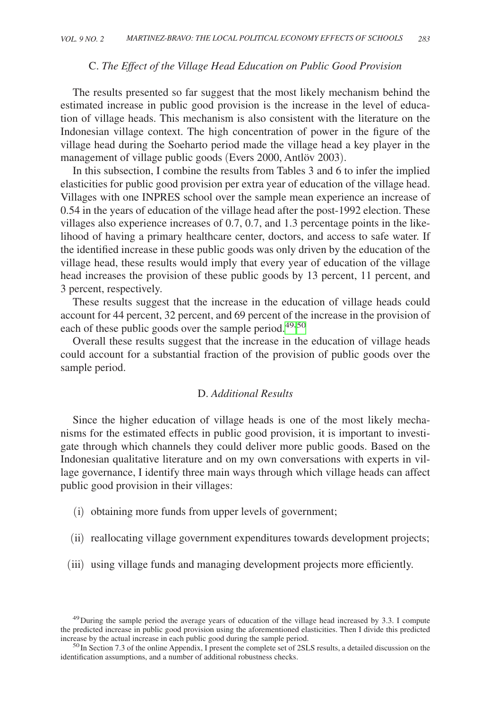#### C. *The Effect of the Village Head Education on Public Good Provision*

The results presented so far suggest that the most likely mechanism behind the estimated increase in public good provision is the increase in the level of education of village heads. This mechanism is also consistent with the literature on the Indonesian village context. The high concentration of power in the figure of the village head during the Soeharto period made the village head a key player in the management of village public goods (Evers 2000, Antlöv 2003).

In this subsection, I combine the results from Tables 3 and 6 to infer the implied elasticities for public good provision per extra year of education of the village head. Villages with one INPRES school over the sample mean experience an increase of 0.54 in the years of education of the village head after the post-1992 election. These villages also experience increases of 0.7, 0.7, and 1.3 percentage points in the likelihood of having a primary healthcare center, doctors, and access to safe water. If the identified increase in these public goods was only driven by the education of the village head, these results would imply that every year of education of the village head increases the provision of these public goods by 13 percent, 11 percent, and 3 percent, respectively.

These results suggest that the increase in the education of village heads could account for 44 percent, 32 percent, and 69 percent of the increase in the provision of each of these public goods over the sample period.<sup>[49,](#page-27-0)[50](#page-27-1)</sup>

Overall these results suggest that the increase in the education of village heads could account for a substantial fraction of the provision of public goods over the sample period.

# D. *Additional Results*

Since the higher education of village heads is one of the most likely mechanisms for the estimated effects in public good provision, it is important to investigate through which channels they could deliver more public goods. Based on the Indonesian qualitative literature and on my own conversations with experts in village governance, I identify three main ways through which village heads can affect public good provision in their villages:

- (i) obtaining more funds from upper levels of government;
- (ii) reallocating village government expenditures towards development projects;
- (iii) using village funds and managing development projects more efficiently.

<span id="page-27-0"></span><sup>&</sup>lt;sup>49</sup>During the sample period the average years of education of the village head increased by 3.3. I compute the predicted increase in public good provision using the aforementioned elasticities. Then I divide this predicted increase by the actual increase in each public good during the sample period.

<span id="page-27-1"></span> $50$  In Section 7.3 of the online Appendix, I present the complete set of 2SLS results, a detailed discussion on the identification assumptions, and a number of additional robustness checks.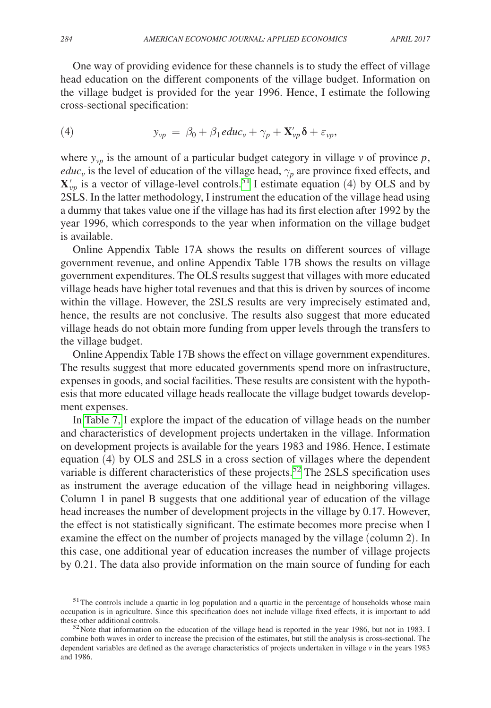One way of providing evidence for these channels is to study the effect of village head education on the different components of the village budget. Information on the village budget is provided for the year 1996. Hence, I estimate the following cross-sectional specification:

(4) 
$$
y_{vp} = \beta_0 + \beta_1 educ_v + \gamma_p + \mathbf{X}'_{vp} \delta + \varepsilon_{vp},
$$

where  $y_{vp}$  is the amount of a particular budget category in village  $v$  of province  $p$ , *educ<sub>v</sub>* is the level of education of the village head,  $\gamma_p$  are province fixed effects, and  $\mathbf{X}'_{vp}$  is a vector of village-level controls.<sup>51</sup> I estimate equation (4) by OLS and by 2SLS. In the latter methodology, I instrument the education of the village head using a dummy that takes value one if the village has had its first election after 1992 by the year 1996, which corresponds to the year when information on the village budget is available.

Online Appendix Table 17A shows the results on different sources of village government revenue, and online Appendix Table 17B shows the results on village government expenditures. The OLS results suggest that villages with more educated village heads have higher total revenues and that this is driven by sources of income within the village. However, the 2SLS results are very imprecisely estimated and, hence, the results are not conclusive. The results also suggest that more educated village heads do not obtain more funding from upper levels through the transfers to the village budget.

Online Appendix Table 17B shows the effect on village government expenditures. The results suggest that more educated governments spend more on infrastructure, expenses in goods, and social facilities. These results are consistent with the hypothesis that more educated village heads reallocate the village budget towards development expenses.

In [Table 7,](#page-29-0) I explore the impact of the education of village heads on the number and characteristics of development projects undertaken in the village. Information on development projects is available for the years 1983 and 1986. Hence, I estimate equation (4) by OLS and 2SLS in a cross section of villages where the dependent variable is different characteristics of these projects.<sup>52</sup> The 2SLS specification uses as instrument the average education of the village head in neighboring villages. Column 1 in panel B suggests that one additional year of education of the village head increases the number of development projects in the village by 0.17. However, the effect is not statistically significant. The estimate becomes more precise when I examine the effect on the number of projects managed by the village (column 2). In this case, one additional year of education increases the number of village projects by 0.21. The data also provide information on the main source of funding for each

<span id="page-28-0"></span> $51$ The controls include a quartic in log population and a quartic in the percentage of households whose main occupation is in agriculture. Since this specification does not include village fixed effects, it is important to add

<span id="page-28-1"></span> $52$  Note that information on the education of the village head is reported in the year 1986, but not in 1983. I combine both waves in order to increase the precision of the estimates, but still the analysis is cross-sectional. The dependent variables are defined as the average characteristics of projects undertaken in village  $\nu$  in the years 1983 and 1986.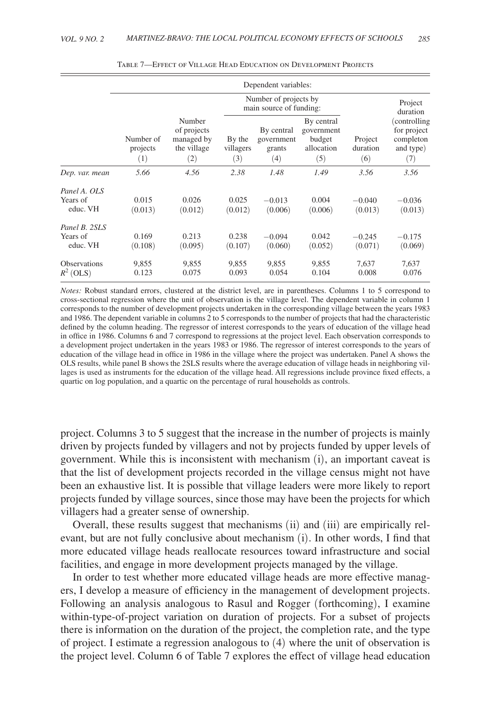<span id="page-29-0"></span>

|                     |                              |                                                           |                            | Dependent variables:                             |                                                         |                            |                                                             |
|---------------------|------------------------------|-----------------------------------------------------------|----------------------------|--------------------------------------------------|---------------------------------------------------------|----------------------------|-------------------------------------------------------------|
|                     |                              |                                                           |                            | Number of projects by<br>main source of funding: |                                                         |                            | Project<br>duration                                         |
|                     | Number of<br>projects<br>(1) | Number<br>of projects<br>managed by<br>the village<br>(2) | By the<br>villagers<br>(3) | By central<br>government<br>grants<br>(4)        | By central<br>government<br>budget<br>allocation<br>(5) | Project<br>duration<br>(6) | controlling<br>for project<br>completon<br>and type)<br>(7) |
| Dep. var. mean      | 5.66                         | 4.56                                                      | 2.38                       | 1.48                                             | 1.49                                                    | 3.56                       | 3.56                                                        |
| Panel A. OLS        |                              |                                                           |                            |                                                  |                                                         |                            |                                                             |
| Years of            | 0.015                        | 0.026                                                     | 0.025                      | $-0.013$                                         | 0.004                                                   | $-0.040$                   | $-0.036$                                                    |
| educ. VH            | (0.013)                      | (0.012)                                                   | (0.012)                    | (0.006)                                          | (0.006)                                                 | (0.013)                    | (0.013)                                                     |
| Panel B. 2SLS       |                              |                                                           |                            |                                                  |                                                         |                            |                                                             |
| Years of            | 0.169                        | 0.213                                                     | 0.238                      | $-0.094$                                         | 0.042                                                   | $-0.245$                   | $-0.175$                                                    |
| educ. VH            | (0.108)                      | (0.095)                                                   | (0.107)                    | (0.060)                                          | (0.052)                                                 | (0.071)                    | (0.069)                                                     |
| <b>Observations</b> | 9,855                        | 9.855                                                     | 9.855                      | 9.855                                            | 9,855                                                   | 7.637                      | 7,637                                                       |
| $R^2$ (OLS)         | 0.123                        | 0.075                                                     | 0.093                      | 0.054                                            | 0.104                                                   | 0.008                      | 0.076                                                       |

Table 7—Effect of Village Head Education on Development Projects

*Notes:* Robust standard errors, clustered at the district level, are in parentheses. Columns 1 to 5 correspond to cross-sectional regression where the unit of observation is the village level. The dependent variable in column 1 corresponds to the number of development projects undertaken in the corresponding village between the years 1983 and 1986. The dependent variable in columns 2 to 5 corresponds to the number of projects that had the characteristic defined by the column heading. The regressor of interest corresponds to the years of education of the village head in office in 1986. Columns 6 and 7 correspond to regressions at the project level. Each observation corresponds to a development project undertaken in the years 1983 or 1986. The regressor of interest corresponds to the years of education of the village head in office in 1986 in the village where the project was undertaken. Panel A shows the OLS results, while panel B shows the 2SLS results where the average education of village heads in neighboring villages is used as instruments for the education of the village head. All regressions include province fixed effects, a quartic on log population, and a quartic on the percentage of rural households as controls.

project. Columns 3 to 5 suggest that the increase in the number of projects is mainly driven by projects funded by villagers and not by projects funded by upper levels of government. While this is inconsistent with mechanism (i), an important caveat is that the list of development projects recorded in the village census might not have been an exhaustive list. It is possible that village leaders were more likely to report projects funded by village sources, since those may have been the projects for which villagers had a greater sense of ownership.

Overall, these results suggest that mechanisms (ii) and (iii) are empirically relevant, but are not fully conclusive about mechanism (i). In other words, I find that more educated village heads reallocate resources toward infrastructure and social facilities, and engage in more development projects managed by the village.

In order to test whether more educated village heads are more effective managers, I develop a measure of efficiency in the management of development projects. Following an analysis analogous to Rasul and Rogger (forthcoming), I examine within-type-of-project variation on duration of projects. For a subset of projects there is information on the duration of the project, the completion rate, and the type of project. I estimate a regression analogous to (4) where the unit of observation is the project level. Column 6 of Table 7 explores the effect of village head education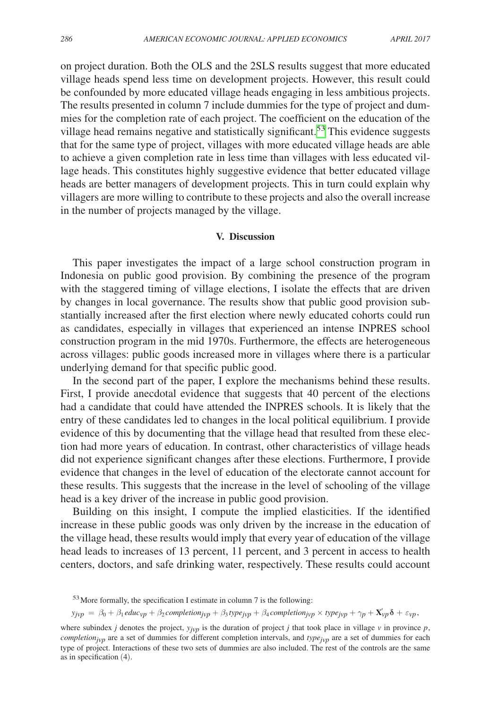on project duration. Both the OLS and the 2SLS results suggest that more educated village heads spend less time on development projects. However, this result could be confounded by more educated village heads engaging in less ambitious projects. The results presented in column 7 include dummies for the type of project and dummies for the completion rate of each project. The coefficient on the education of the village head remains negative and statistically significant.<sup>53</sup> This evidence suggests that for the same type of project, villages with more educated village heads are able to achieve a given completion rate in less time than villages with less educated village heads. This constitutes highly suggestive evidence that better educated village heads are better managers of development projects. This in turn could explain why villagers are more willing to contribute to these projects and also the overall increase in the number of projects managed by the village.

#### **V. Discussion**

This paper investigates the impact of a large school construction program in Indonesia on public good provision. By combining the presence of the program with the staggered timing of village elections, I isolate the effects that are driven by changes in local governance. The results show that public good provision substantially increased after the first election where newly educated cohorts could run as candidates, especially in villages that experienced an intense INPRES school construction program in the mid 1970s. Furthermore, the effects are heterogeneous across villages: public goods increased more in villages where there is a particular underlying demand for that specific public good.

In the second part of the paper, I explore the mechanisms behind these results. First, I provide anecdotal evidence that suggests that 40 percent of the elections had a candidate that could have attended the INPRES schools. It is likely that the entry of these candidates led to changes in the local political equilibrium. I provide evidence of this by documenting that the village head that resulted from these election had more years of education. In contrast, other characteristics of village heads did not experience significant changes after these elections. Furthermore, I provide evidence that changes in the level of education of the electorate cannot account for these results. This suggests that the increase in the level of schooling of the village head is a key driver of the increase in public good provision.

Building on this insight, I compute the implied elasticities. If the identified increase in these public goods was only driven by the increase in the education of the village head, these results would imply that every year of education of the village head leads to increases of 13 percent, 11 percent, and 3 percent in access to health centers, doctors, and safe drinking water, respectively. These results could account

<span id="page-30-0"></span> $53$  More formally, the specification I estimate in column 7 is the following:

 $y_{jvp} = \beta_0 + \beta_1$  *educ<sub>vp</sub>* +  $\beta_2$  *completion<sub>ivp</sub>* +  $\beta_3$ *type<sub>ivp</sub>* +  $\beta_4$ *completion<sub>ivp</sub>* × *type<sub>ivp</sub>* +  $\gamma_p$  +  $\mathbf{X}'_{vp}$ **δ** +  $\varepsilon_{vp}$ *,* 

where subindex *j* denotes the project,  $y_{jvp}$  is the duration of project *j* that took place in village  $v$  in province  $p$ , *completionjvp* are a set of dummies for different completion intervals, and *typejvp* are a set of dummies for each type of project. Interactions of these two sets of dummies are also included. The rest of the controls are the same as in specification (4).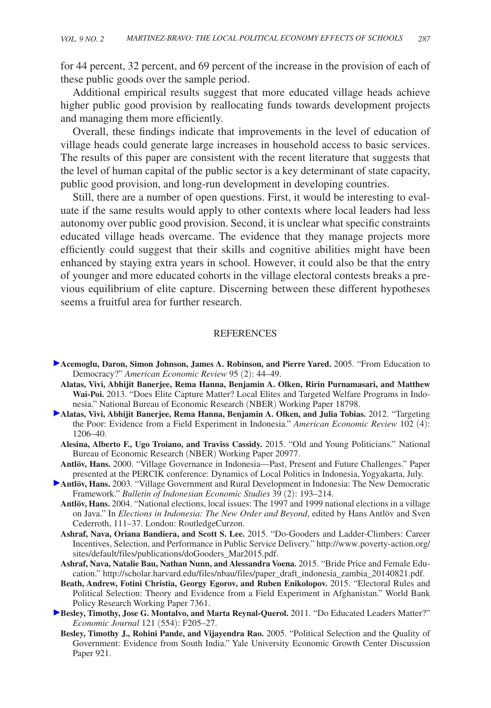for 44 percent, 32 percent, and 69 percent of the increase in the provision of each of these public goods over the sample period.

Additional empirical results suggest that more educated village heads achieve higher public good provision by reallocating funds towards development projects and managing them more efficiently.

Overall, these findings indicate that improvements in the level of education of village heads could generate large increases in household access to basic services. The results of this paper are consistent with the recent literature that suggests that the level of human capital of the public sector is a key determinant of state capacity, public good provision, and long-run development in developing countries.

Still, there are a number of open questions. First, it would be interesting to evaluate if the same results would apply to other contexts where local leaders had less autonomy over public good provision. Second, it is unclear what specific constraints educated village heads overcame. The evidence that they manage projects more efficiently could suggest that their skills and cognitive abilities might have been enhanced by staying extra years in school. However, it could also be that the entry of younger and more educated cohorts in the village electoral contests breaks a previous equilibrium of elite capture. Discerning between these different hypotheses seems a fruitful area for further research.

#### **REFERENCES**

- **Acemoglu, Daron, Simon Johnson, James A. Robinson, and Pierre Yared.** 2005. "From Education to Democracy?" *American Economic Review* 95 (2): 44–49.
	- **Alatas, Vivi, Abhijit Banerjee, Rema Hanna, Benjamin A. Olken, Ririn Purnamasari, and Matthew Wai-Poi.** 2013. "Does Elite Capture Matter? Local Elites and Targeted Welfare Programs in Indonesia." National Bureau of Economic Research (NBER) Working Paper 18798.
- **Alatas, Vivi, Abhijit Banerjee, Rema Hanna, Benjamin A. Olken, and Julia Tobias.** 2012. "Targeting the Poor: Evidence from a Field Experiment in Indonesia." *American Economic Review* 102 (4): 1206–40.
	- **Alesina, Alberto F., Ugo Troiano, and Traviss Cassidy.** 2015. "Old and Young Politicians." National Bureau of Economic Research (NBER) Working Paper 20977.
	- **Antlöv, Hans.** 2000. "Village Governance in Indonesia—Past, Present and Future Challenges." Paper presented at the PERCIK conference: Dynamics of Local Politics in Indonesia, Yogyakarta, July.
- **Antlöv, Hans.** 2003. "Village Government and Rural Development in Indonesia: The New Democratic Framework." *Bulletin of Indonesian Economic Studies* 39 (2): 193–214.
	- **Antlöv, Hans.** 2004. "National elections, local issues: The 1997 and 1999 national elections in a village on Java." In *Elections in Indonesia: The New Order and Beyond*, edited by Hans Antlöv and Sven Cederroth, 111–37. London: RoutledgeCurzon.
	- **Ashraf, Nava, Oriana Bandiera, and Scott S. Lee.** 2015. "Do-Gooders and Ladder-Climbers: Career [Incentives, Selection, and Performance in Public Service Delivery." http://www.poverty-action.org/](http://www.poverty-action.org/sites/default/files/publications/doGooders_Mar2015.pdf) sites/default/files/publications/doGooders\_Mar2015.pdf.
	- **Ashraf, Nava, Natalie Bau, Nathan Nunn, and Alessandra Voena.** 2015. "Bride Price and Female Education." http://scholar.harvard.edu/files/nbau/files/paper\_draft\_indonesia\_zambia\_20140821.pdf.
	- **Beath, Andrew, Fotini Christia, Georgy Egorov, and Ruben Enikolopov.** 2015. "Electoral Rules and Political Selection: Theory and Evidence from a Field Experiment in Afghanistan." World Bank Policy Research Working Paper 7361.
- **Besley, Timothy, Jose G. Montalvo, and Marta Reynal-Querol.** 2011. "Do Educated Leaders Matter?" *Economic Journal* 121 (554): F205–27.
	- **Besley, Timothy J., Rohini Pande, and Vijayendra Rao.** 2005. "Political Selection and the Quality of Government: Evidence from South India." Yale University Economic Growth Center Discussion Paper 921.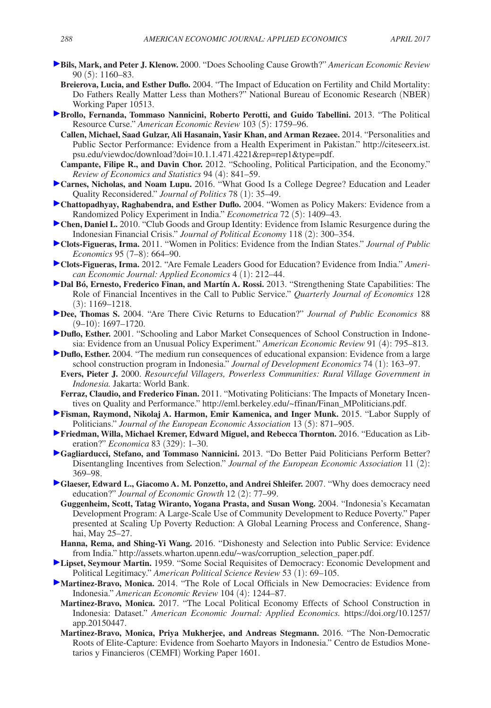- **Bils, Mark, and Peter J. Klenow.** 2000. "Does Schooling Cause Growth?" *American Economic Review* 90 (5): 1160–83.
- **Breierova, Lucia, and Esther Duflo.** 2004. "The Impact of Education on Fertility and Child Mortality: Do Fathers Really Matter Less than Mothers?" National Bureau of Economic Research (NBER) Working Paper 10513.
- **Brollo, Fernanda, Tommaso Nannicini, Roberto Perotti, and Guido Tabellini.** 2013. "The Political Resource Curse." *American Economic Review* 103 (5): 1759–96.
	- **Callen, Michael, Saad Gulzar, Ali Hasanain, Yasir Khan, and Arman Rezaee.** 2014. "Personalities and [Public Sector Performance: Evidence from a Health Experiment in Pakistan." http://citeseerx.ist.](http://citeseerx.ist.psu.edu/viewdoc/download?doi=10.1.1.471.4221&rep=rep1&type=pdf) psu.edu/viewdoc/download?doi=10.1.1.471.4221&rep=rep1&type=pdf.
- **Campante, Filipe R., and Davin Chor.** 2012. "Schooling, Political Participation, and the Economy." *Review of Economics and Statistics* 94 (4): 841–59.
- **Carnes, Nicholas, and Noam Lupu.** 2016. "What Good Is a College Degree? Education and Leader Quality Reconsidered." *Journal of Politics* 78 (1): 35–49.
- **Chattopadhyay, Raghabendra, and Esther Duflo.** 2004. "Women as Policy Makers: Evidence from a Randomized Policy Experiment in India." *Econometrica* 72 (5): 1409–43.
- **Chen, Daniel L.** 2010. "Club Goods and Group Identity: Evidence from Islamic Resurgence during the Indonesian Financial Crisis." *Journal of Political Economy* 118 (2): 300–354.
- **Clots-Figueras, Irma.** 2011. "Women in Politics: Evidence from the Indian States." *Journal of Public Economics* 95 (7–8): 664–90.
- **Clots-Figueras, Irma.** 2012. "Are Female Leaders Good for Education? Evidence from India." *American Economic Journal: Applied Economics* 4 (1): 212–44.
- **Dal Bó, Ernesto, Frederico Finan, and Martín A. Rossi.** 2013. "Strengthening State Capabilities: The Role of Financial Incentives in the Call to Public Service." *Quarterly Journal of Economics* 128 (3): 1169–1218.
- **Dee, Thomas S.** 2004. "Are There Civic Returns to Education?" *Journal of Public Economics* 88 (9–10): 1697–1720.
- **Duflo, Esther.** 2001. "Schooling and Labor Market Consequences of School Construction in Indonesia: Evidence from an Unusual Policy Experiment." *American Economic Review* 91 (4): 795–813.
- **Duflo, Esther.** 2004. "The medium run consequences of educational expansion: Evidence from a large school construction program in Indonesia." *Journal of Development Economics* 74 (1): 163–97.
	- **Evers, Pieter J.** 2000. *Resourceful Villagers, Powerless Communities: Rural Village Government in Indonesia.* Jakarta: World Bank.
- **Ferraz, Claudio, and Frederico Finan.** 2011. "Motivating Politicians: The Impacts of Monetary Incentives on Quality and Performance." http://eml.berkeley.edu/~ffinan/Finan\_MPoliticians.pdf.
- **Fisman, Raymond, Nikolaj A. Harmon, Emir Kamenica, and Inger Munk.** 2015. "Labor Supply of Politicians." *Journal of the European Economic Association* 13 (5): 871–905.
- **Friedman, Willa, Michael Kremer, Edward Miguel, and Rebecca Thornton.** 2016. "Education as Liberation?" *Economica* 83 (329): 1–30.
- **Gagliarducci, Stefano, and Tommaso Nannicini.** 2013. "Do Better Paid Politicians Perform Better? Disentangling Incentives from Selection." *Journal of the European Economic Association* 11 (2): 369–98.
- **Glaeser, Edward L., Giacomo A. M. Ponzetto, and Andrei Shleifer.** 2007. "Why does democracy need education?" *Journal of Economic Growth* 12 (2): 77–99.
	- **Guggenheim, Scott, Tatag Wiranto, Yogana Prasta, and Susan Wong.** 2004. "Indonesia's Kecamatan Development Program: A Large-Scale Use of Community Development to Reduce Poverty." Paper presented at Scaling Up Poverty Reduction: A Global Learning Process and Conference, Shanghai, May 25–27.
	- **Hanna, Rema, and Shing-Yi Wang.** 2016. "Dishonesty and Selection into Public Service: Evidence from India." http://assets.wharton.upenn.edu/~was/corruption\_selection\_paper.pdf.
- **Lipset, Seymour Martin.** 1959. "Some Social Requisites of Democracy: Economic Development and Political Legitimacy." *American Political Science Review* 53 (1): 69–105.
- **Martinez-Bravo, Monica.** 2014. "The Role of Local Officials in New Democracies: Evidence from Indonesia." *American Economic Review* 104 (4): 1244–87.
	- **Martinez-Bravo, Monica.** 2017. "The Local Political Economy Effects of School Construction in Indonesia: Dataset." *[American Economic Journal: Applied Economics.](https://doi.org/10.1257/app.20150447)* https://doi.org/10.1257/ app.20150447.
	- **Martinez-Bravo, Monica, Priya Mukherjee, and Andreas Stegmann.** 2016. "The Non-Democratic Roots of Elite-Capture: Evidence from Soeharto Mayors in Indonesia." Centro de Estudios Monetarios y Financieros (CEMFI) Working Paper 1601.